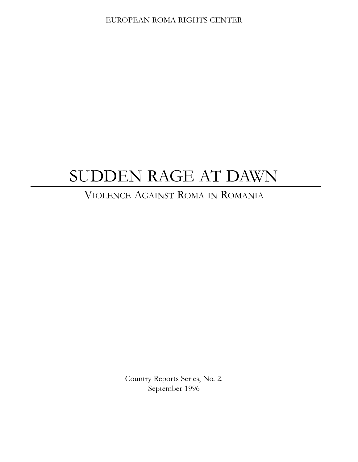# SUDDEN RAGE AT DAWN

## VIOLENCE AGAINST ROMA IN ROMANIA

Country Reports Series, No. 2. September 1996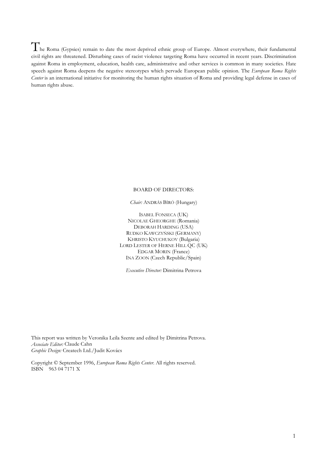he Roma (Gypsies) remain to date the most deprived ethnic group of Europe. Almost everywhere, their fundamental civil rights are threatened. Disturbing cases of racist violence targeting Roma have occurred in recent years. Discrimination against Roma in employment, education, health care, administrative and other services is common in many societies. Hate speech against Roma deepens the negative stereotypes which pervade European public opinion. The European Roma Rights Center is an international initiative for monitoring the human rights situation of Roma and providing legal defense in cases of human rights abuse.

## **BOARD OF DIRECTORS:**

Chair: ANDRÁS BÍRÓ (Hungary)

**ISABEL FONSECA (UK)** NICOLAE GHEORGHE (Romania) DEBORAH HARDING (USA) RUDKO KAWCZYŃSKI (GERMANY) KHRISTO KYUCHUKOV (Bulgaria) LORD LESTER OF HERNE HILL QC (UK) **EDGAR MORIN** (France) INA ZOON (Czech Republic/Spain)

Executive Director: Dimitrina Petrova

This report was written by Veronika Leila Szente and edited by Dimitrina Petrova. Associate Editor: Claude Cahn Graphic Design: Createch Ltd./Judit Kovács

Copyright © September 1996, European Roma Rights Center. All rights reserved. ISBN 963 04 7171 X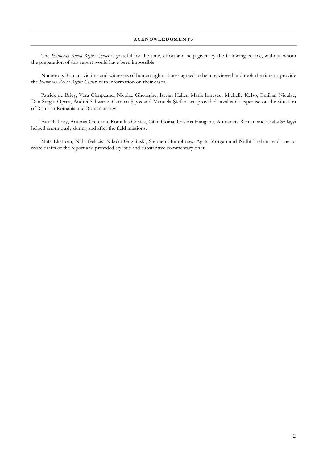The European Roma Rights Center is grateful for the time, effort and help given by the following people, without whom the preparation of this report would have been impossible:

Numerous Romani victims and witnesses of human rights abuses agreed to be interviewed and took the time to provide the European Roma Rights Center with information on their cases.

Patrick de Briev, Vera Câmpeanu, Nicolae Gheorghe, István Haller, Maria Ionescu, Michelle Kelso, Emilian Niculae, Dan-Sergiu Oprea, Andrei Schwartz, Carmen Sipos and Manuela Stefanescu provided invaluable expertise on the situation of Roma in Romania and Romanian law.

Éva Báthory, Antonia Creteanu, Romulus Cristea, Călin Goina, Cristina Hanganu, Antoaneta Roman and Csaba Szilágyi helped enormously during and after the field missions.

Mats Ekström, Nida Gelazis, Nikolai Gughinski, Stephen Humphreys, Agata Morgan and Nidhi Trehan read one or more drafts of the report and provided stylistic and substantive commentary on it.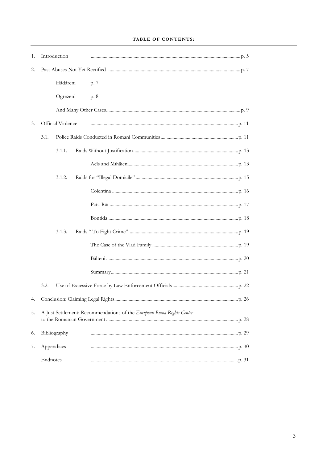| 1. |                                                                       | Introduction |  |      |  |
|----|-----------------------------------------------------------------------|--------------|--|------|--|
| 2. |                                                                       |              |  |      |  |
|    |                                                                       | Hădăreni     |  | p. 7 |  |
|    |                                                                       | Ogrezeni     |  | p. 8 |  |
|    |                                                                       |              |  |      |  |
| 3. | Official Violence                                                     |              |  |      |  |
|    | 3.1.                                                                  |              |  |      |  |
|    |                                                                       | 3.1.1.       |  |      |  |
|    |                                                                       |              |  |      |  |
|    |                                                                       | 3.1.2.       |  |      |  |
|    |                                                                       |              |  |      |  |
|    |                                                                       |              |  |      |  |
|    |                                                                       |              |  |      |  |
|    |                                                                       | 3.1.3.       |  |      |  |
|    |                                                                       |              |  |      |  |
|    |                                                                       |              |  |      |  |
|    |                                                                       |              |  |      |  |
|    | 3.2.                                                                  |              |  |      |  |
| 4. |                                                                       |              |  |      |  |
| 5. | A Just Settlement: Recommendations of the European Roma Rights Center |              |  |      |  |
| 6. |                                                                       | Bibliography |  |      |  |
| 7. |                                                                       | Appendices   |  |      |  |
|    | Endnotes                                                              |              |  |      |  |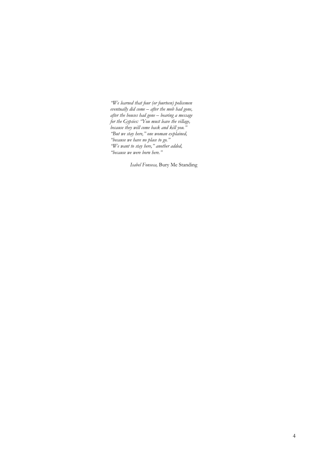"We learned that four (or fourteen) policemen<br>eventually did come – after the mob had gone, after the houses had gone — bearing a message<br>for the Gypsies: "You must leave the village, for the Gypsies: "I ou must leave the village<br>because they will come back and kill you."<br>"But we stay here," one woman explained,<br>"because we have no place to go."<br>"We want to stay here," another added,<br>"because we were bo

Isabel Fonseca, Bury Me Standing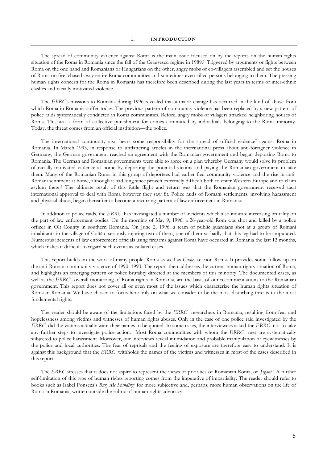#### **INTRODUCTION**  $\mathbf{1}$ .

The spread of community violence against Roma is the main issue focused on by the reports on the human rights situation of the Roma in Romania since the fall of the Ceausescu regime in 1989.<sup>1</sup> Triggered by arguments or fights between Roma on the one hand and Romanians or Hungarians on the other, angry mobs of co-villagers assembled and set the houses of Roma on fire, chased away entire Roma communities and sometimes even killed persons belonging to them. The pressing human rights concern for the Roma in Romania has therefore been described during the last years in terms of inter-ethnic clashes and racially motivated violence.

The ERRCs missions to Romania during 1996 revealed that a major change has occurred in the kind of abuse from which Roma in Romania suffer today. The previous pattern of community violence has been replaced by a new pattern of police raids systematically conducted in Roma communities. Before, angry mobs of villagers attacked neighboring houses of Roma. This was a form of collective punishment for crimes committed by individuals belonging to the Roma minority. Today, the threat comes from an official institution-the police.

The international community also bears some responsibility for the spread of official violence<sup>2</sup> against Roma in Romania. In March 1993, in response to unflattering articles in the international press about anti-foreigner violence in Germany, the German government reached an agreement with the Romanian government and began deporting Roma to Romania. The German and Romanian governments were able to agree on a plan whereby Germany would solve its problem of racially-motivated violence at home by deporting the potential victims and paying the Romanian government to take them. Many of the Romanian Roma in this group of deportees had earlier fled community violence and the rise in anti-Romani sentiment at home, although it had long since proven extremely difficult both to enter Western Europe and to claim asylum there.<sup>3</sup> The ultimate result of this futile flight and return was that the Romanian government received tacit international approval to deal with Roma however they saw fit. Police raids of Romani settlements, involving harassment and physical abuse, began thereafter to become a recurring pattern of law enforcement in Romania.

In addition to police raids, the ERRC has investigated a number of incidents which also indicate increasing brutality on the part of law enforcement bodies. On the morning of May 9, 1996, a 26-year-old Rom was shot and killed by a police officer in Olt County in southern Romania. On June 2, 1996, a team of public guardians shot at a group of Romani inhabitants in the village of Coltău, seriously injuring two of them, one of them so badly that his leg had to be amputated. Numerous incidents of law enforcement officials using firearms against Roma have occurred in Romania the last 12 months, which makes it difficult to regard such events as isolated cases.

This report builds on the work of many people, Roma as well as *Gadje*, i.e. non-Roma. It provides some follow-up on the anti-Romani community violence of 1990-1993. The report then addresses the current human rights situation of Roma, and highlights an emerging pattern of police brutality directed at the members of this minority. The documented cases, as well as the ERRC's overall monitoring of Roma rights in Romania, are the basis of our recommendations to the Romanian government. This report does not cover all or even most of the issues which characterize the human rights situation of Roma in Romania. We have chosen to focus here only on what we consider to be the most disturbing threats to the most fundamental rights.

The reader should be aware of the limitations faced by the ERRC researchers in Romania, resulting from fear and hopelessness among victims and witnesses of human rights abuses. Only in the case of one police raid investigated by the ERRC did the victims actually want their names to be quoted. In some cases, the interviewees asked the ERRC not to take any further steps to investigate police action. Most Roma communities with whom the ERRC met are systematically subjected to police harassment. Moreover, our interviews reveal intimidation and probable manipulation of eyewitnesses by the police and local authorities. The fear of reprisals and the feeling of exposure are therefore easy to understand. It is against this background that the ERRC withholds the names of the victims and witnesses in most of the cases described in this report.

The ERRC stresses that it does not aspire to represent the views or priorities of Romanian Roma, or *Țigani*.<sup>4</sup> A further self-limitation of this type of human rights reporting comes from the imperative of impartiality. The reader should refer to books such as Isabel Fonseca's Bury Me Standing<sup>5</sup> for more subjective and, perhaps, more human observations on the life of Roma in Romania, written outside the rubric of human rights advocacy.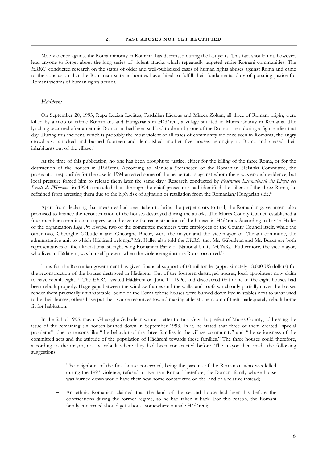#### $\overline{2}$ . PAST ABUSES NOT YET RECTIFIED

Mob violence against the Roma minority in Romania has decreased during the last years. This fact should not, however, lead anyone to forget about the long series of violent attacks which repeatedly targeted entire Romani communities. The ERRC conducted research on the status of older and well-publicized cases of human rights abuses against Roma and came to the conclusion that the Romanian state authorities have failed to fulfill their fundamental duty of pursuing justice for Romani victims of human rights abuses.

#### Hădăreni

On September 20, 1993, Rupa Lucian Lăcătus, Pardalian Lăcătus and Mircea Zoltan, all three of Romani origin, were killed by a mob of ethnic Romanians and Hungarians in Hădăreni, a village situated in Mures County in Romania. The lynching occurred after an ethnic Romanian had been stabbed to death by one of the Romani men during a fight earlier that day. During this incident, which is probably the most violent of all cases of community violence seen in Romania, the angry crowd also attacked and burned fourteen and demolished another five houses belonging to Roma and chased their inhabitants out of the village.<sup>6</sup>

At the time of this publication, no one has been brought to justice, either for the killing of the three Roma, or for the destruction of the houses in Hădăreni. According to Manuela Ștefanescu of the Romanian Helsinki Committee, the prosecutor responsible for the case in 1994 arrested some of the perpetrators against whom there was enough evidence, but local pressure forced him to release them later the same day.7 Research conducted by Fédération Internationale des Lignes des Droits de l'Homme in 1994 concluded that although the chief prosecutor had identified the killers of the three Roma, he refrained from arresting them due to the high risk of agitation or retaliation from the Romanian/Hungarian side.<sup>8</sup>

Apart from declaring that measures had been taken to bring the perpetrators to trial, the Romanian government also promised to finance the reconstruction of the houses destroved during the attacks. The Mures County Council established a four-member committee to supervise and execute the reconstruction of the houses in Hădăreni. According to István Haller of the organization Liga Pro Europa, two of the committee members were employees of the County Council itself, while the other two, Gheorghe Găbudean and Gheorghe Bucur, were the mayor and the vice-mayor of Chetani commune, the administrative unit to which Hădăreni belongs.<sup>9</sup> Mr. Haller also told the ERRC that Mr. Găbudean and Mr. Bucur are both representatives of the ultranationalist, right-wing Romanian Party of National Unity (PUNR). Futhermore, the vice-mayor, who lives in Hădăreni, was himself present when the violence against the Roma occurred.<sup>10</sup>

Thus far, the Romanian government has given financial support of 60 million lei (approximately 18,000 US dollars) for the reconstruction of the houses destroyed in Hădăreni. Out of the fourteen destroyed houses, local appointees now claim to have rebuilt eight.<sup>11</sup> The ERRC visited Hădăreni on June 11, 1996, and discovered that none of the eight houses had been rebuilt properly. Huge gaps between the window-frames and the walls, and roofs which only partially cover the houses render them practically uninhabitable. Some of the Roma whose houses were burned down live in stables next to what used to be their homes; others have put their scarce resources toward making at least one room of their inadequately rebuilt home fit for habitation.

In the fall of 1995, mayor Gheorghe Găbudean wrote a letter to Târu Gavrilă, prefect of Mures County, addressing the issue of the remaining six houses burned down in September 1993. In it, he stated that three of them created "special problems", due to reasons like "the behavior of the three families in the village community" and "the seriousness of the committed acts and the attitude of the population of Hădăreni towards these families." The three houses could therefore, according to the mayor, not be rebuilt where they had been constructed before. The mayor then made the following suggestions:

- The neighbors of the first house concerned, being the parents of the Romanian who was killed during the 1993 violence, refused to live near Roma. Therefore, the Romani family whose house was burned down would have their new home constructed on the land of a relative instead;
- An ethnic Romanian claimed that the land of the second house had been his before the confiscations during the former regime, so he had taken it back. For this reason, the Romani family concerned should get a house somewhere outside Hădăreni;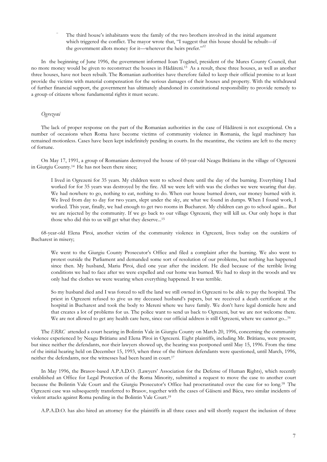The third house's inhabitants were the family of the two brothers involved in the initial argument which triggered the conflict. The mayor wrote that, "I suggest that this house should be rebuilt-if the government allots money for it—wherever the heirs prefer."<sup>12</sup>

In the beginning of June 1996, the government informed Ioan Togănel, president of the Mures County Council, that no more money would be given to reconstruct the houses in Hădăreni.<sup>13</sup> As a result, these three houses, as well as another three houses, have not been rebuilt. The Romanian authorities have therefore failed to keep their official promise to at least provide the victims with material compensation for the serious damages of their houses and property. With the withdrawal of further financial support, the government has ultimately abandoned its constitutional responsibility to provide remedy to a group of citizens whose fundamental rights it must secure.

## Ogrezeni

The lack of proper response on the part of the Romanian authorities in the case of Hădăreni is not exceptional. On a number of occasions when Roma have become victims of community violence in Romania, the legal machinery has remained motionless. Cases have been kept indefinitely pending in courts. In the meantime, the victims are left to the mercy of fortune.

On May 17, 1991, a group of Romanians destroyed the house of 60-year-old Neagu Brătianu in the village of Ogrezeni in Giurgiu County.<sup>14</sup> He has not been there since;

I lived in Ogrezeni for 35 years. My children went to school there until the day of the burning. Everything I had worked for for 35 years was destroyed by the fire. All we were left with was the clothes we were wearing that day. We had nowhere to go, nothing to eat, nothing to do. When our house burned down, our money burned with it. We lived from day to day for two years, slept under the sky, ate what we found in dumps. When I found work, I worked. This year, finally, we had enough to get two rooms in Bucharest. My children can go to school again... But we are rejected by the community. If we go back to our village Ogrezeni, they will kill us. Our only hope is that those who did this to us will get what they deserve...<sup>15</sup>

68-year-old Elena Pîroi, another victim of the community violence in Ogrezeni, lives today on the outskirts of Bucharest in misery;

We went to the Giurgiu County Prosecutor's Office and filed a complaint after the burning. We also went to protest outside the Parliament and demanded some sort of resolution of our problems, but nothing has happened since then. My husband, Mariu Pîroi, died one year after the incident. He died because of the terrible living conditions we had to face after we were expelled and our home was burned. We had to sleep in the woods and we only had the clothes we were wearing when everything happened. It was terrible.

So my husband died and I was forced to sell the land we still owned in Ogrezeni to be able to pay the hospital. The priest in Ogrezeni refused to give us my deceased husband's papers, but we received a death certificate at the hospital in Bucharest and took the body to Mereni where we have family. We don't have legal domicile here and that creates a lot of problems for us. The police want to send us back to Ogrezeni, but we are not welcome there. We are not allowed to get any health care here, since our official address is still Ogrezeni, where we cannot go...<sup>16</sup>

The ERRC attended a court hearing in Bolintin Vale in Giurgiu County on March 20, 1996, concerning the community violence experienced by Neagu Brătianu and Elena Pîroi in Ogrezeni. Eight plaintiffs, including Mr. Brătianu, were present, but since neither the defendants, nor their lawyers showed up, the hearing was postponed until May 15, 1996. From the time of the initial hearing held on December 15, 1993, when three of the thirteen defendants were questioned, until March, 1996, neither the defendants, nor the witnesses had been heard in court.<sup>17</sup>

In May 1996, the Brasov-based A.P.A.D.O. (Lawyers' Association for the Defense of Human Rights), which recently established an Office for Legal Protection of the Roma Minority, submitted a request to move the case to another court because the Bolintin Vale Court and the Giurgiu Prosecutor's Office had procrastinated over the case for so long.<sup>18</sup> The Ogrezeni case was subsequently transferred to Brasov, together with the cases of Găiseni and Bâcu, two similar incidents of violent attacks against Roma pending in the Bolintin Vale Court.<sup>19</sup>

A.P.A.D.O. has also hired an attorney for the plaintiffs in all three cases and will shortly request the inclusion of three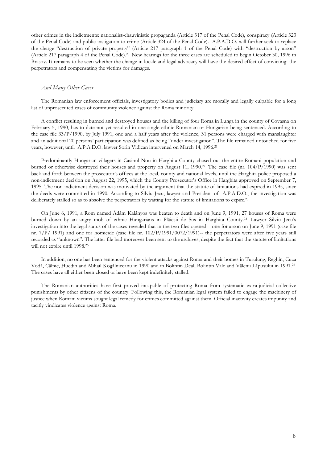other crimes in the indictments: nationalist-chauvinistic propaganda (Article 317 of the Penal Code), conspiracy (Article 323 of the Penal Code) and public instigation to crime (Article 324 of the Penal Code). A.P.A.D.O. will further seek to replace the charge "destruction of private property" (Article 217 paragraph 1 of the Penal Code) with "destruction by arson" (Article 217 paragraph 4 of the Penal Code).<sup>20</sup> New hearings for the three cases are scheduled to begin October 30, 1996 in Brasov. It remains to be seen whether the change in locale and legal advocacy will have the desired effect of convicting the perpetrators and compensating the victims for damages.

## And Many Other Cases

The Romanian law enforcement officials, investigatory bodies and judiciary are morally and legally culpable for a long list of unprosecuted cases of community violence against the Roma minority.

A conflict resulting in burned and destroyed houses and the killing of four Roma in Lunga in the county of Covasna on February 5, 1990, has to date not yet resulted in one single ethnic Romanian or Hungarian being sentenced. According to the case file  $33/P/1990$ , by July 1991, one and a half years after the violence, 31 persons were charged with manslaughter and an additional 20 persons' participation was defined as being "under investigation". The file remained untouched for five years, however, until A.P.A.D.O. lawyer Sorin Vidican intervened on March 14, 1996.<sup>21</sup>

Predominantly Hungarian villagers in Casinul Nou in Harghita County chased out the entire Romani population and burned or otherwise destroyed their houses and property on August 11, 1990.<sup>22</sup> The case file (nr. 104/P/1990) was sent back and forth between the prosecutor's offices at the local, county and national levels, until the Harghita police proposed a non-indictment decision on August 22, 1995, which the County Prosecutor's Office in Harghita approved on September 7, 1995. The non-indictment decision was motivated by the argument that the statute of limitations had expired in 1995, since the deeds were committed in 1990. According to Silviu Jecu, lawyer and President of A.P.A.D.O., the investigation was deliberately stalled so as to absolve the perpetrators by waiting for the statute of limitations to expire.<sup>23</sup>

On June 6, 1991, a Rom named Ádám Kalányos was beaten to death and on June 9, 1991, 27 houses of Roma were burned down by an angry mob of ethnic Hungarians in Plăiesii de Sus in Harghita County.<sup>24</sup> Lawyer Silviu Jecu's investigation into the legal status of the cases revealed that in the two files opened—one for arson on June 9, 1991 (case file nr. 7/P/ 1991) and one for homicide (case file nr.  $102/P/1991/0072/1991$ )-- the perpetrators were after five years still recorded as "unknown". The latter file had moreover been sent to the archives, despite the fact that the statute of limitations will not expire until 1998.<sup>25</sup>

In addition, no one has been sentenced for the violent attacks against Roma and their homes in Turulung, Reghin, Cuza Vodă, Câlnic, Huedin and Mihail Kogălniceanu in 1990 and in Bolintin Deal, Bolintin Vale and Vălenii Lăpusului in 1991.<sup>26</sup> The cases have all either been closed or have been kept indefinitely stalled.

The Romanian authorities have first proved incapable of protecting Roma from systematic extra-judicial collective punishments by other citizens of the country. Following this, the Romanian legal system failed to engage the machinery of justice when Romani victims sought legal remedy for crimes committed against them. Official inactivity creates impunity and tacitly vindicates violence against Roma.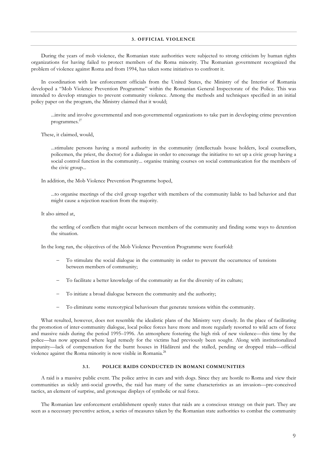During the years of mob violence, the Romanian state authorities were subjected to strong criticism by human rights organizations for having failed to protect members of the Roma minority. The Romanian government recognized the problem of violence against Roma and from 1994, has taken some initiatives to confront it.

In coordination with law enforcement officials from the United States, the Ministry of the Interior of Romania developed a "Mob Violence Prevention Programme" within the Romanian General Inspectorate of the Police. This was intended to develop strategies to prevent community violence. Among the methods and techniques specified in an initial policy paper on the program, the Ministry claimed that it would;

...invite and involve governmental and non-governmental organizations to take part in developing crime prevention programmes. $27$ 

These, it claimed, would,

...stimulate persons having a moral authority in the community (intellectuals house holders, local counsellors, policemen, the priest, the doctor) for a dialogue in order to encourage the initiative to set up a civic group having a social control function in the community... organise training courses on social communication for the members of the civic group...

In addition, the Mob Violence Prevention Programme hoped,

...to organise meetings of the civil group together with members of the community liable to bad behavior and that might cause a rejection reaction from the majority.

It also aimed at,

the settling of conflicts that might occur between members of the community and finding some ways to detention the situation.

In the long run, the objectives of the Mob Violence Prevention Programme were fourfold:

- To stimulate the social dialogue in the community in order to prevent the occurrence of tensions between members of community;
- To facilitate a better knowledge of the community as for the diversity of its culture;
- To initiate a broad dialogue between the community and the authority;
- To eliminate some stereotypical behaviours that generate tensions within the community.

What resulted, however, does not resemble the idealistic plans of the Ministry very closely. In the place of facilitating the promotion of inter-community dialogue, local police forces have more and more regularly resorted to wild acts of force and massive raids during the period 1995–1996. An atmosphere fostering the high risk of new violence—this time by the police—has now appeared where legal remedy for the victims had previously been sought. Along with institutionalized impunity—lack of compensation for the burnt houses in Hădăreni and the stalled, pending or dropped trials—official violence against the Roma minority is now visible in Romania.<sup>28</sup>

#### POLICE RAIDS CONDUCTED IN ROMANI COMMUNITIES  $3<sub>1</sub>$

A raid is a massive public event. The police arrive in cars and with dogs. Since they are hostile to Roma and view their communities as sickly anti-social growths, the raid has many of the same characteristics as an invasion-pre-conceived tactics, an element of surprise, and grotesque displays of symbolic or real force.

The Romanian law enforcement establishment openly states that raids are a conscious strategy on their part. They are seen as a necessary preventive action, a series of measures taken by the Romanian state authorities to combat the community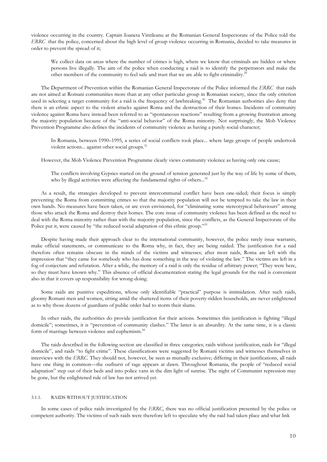violence occurring in the country. Captain Ioaneta Vintileanu at the Romanian General Inspectorate of the Police told the ERRC that the police, concerned about the high level of group violence occurring in Romania, decided to take measures in order to prevent the spread of it;

We collect data on areas where the number of crimes is high, where we know that criminals are hidden or where persons live illegally. The aim of the police when conducting a raid is to identify the perpetrators and make the other members of the community to feel safe and trust that we are able to fight criminality.<sup>25</sup>

The Department of Prevention within the Romanian General Inspectorate of the Police informed the ERRC that raids are not aimed at Romani communities more than at any other particular group in Romanian society, since the only criterion used in selecting a target community for a raid is the frequency of lawbreaking.<sup>30</sup> The Romanian authorities also deny that there is an ethnic aspect to the violent attacks against Roma and the destruction of their homes. Incidents of community violence against Roma have instead been referred to as "spontaneous reactions" resulting from a growing frustration among the majority population because of the "anti-social behavior" of the Roma minority. Not surprisingly, the Mob Violence Prevention Programme also defines the incidents of community violence as having a purely social character;

In Romania, between 1990-1995, a series of social conflicts took place... where large groups of people undertook violent actions... against other social groups.<sup>31</sup>

However, the Mob Violence Prevention Programme clearly views community violence as having only one cause;

The conflicts involving Gypsies started on the ground of tension generated just by the way of life by some of them, who by illegal activities were affecting the fundamental rights of others...<sup>32</sup>

As a result, the strategies developed to prevent intercommunal conflict have been one-sided; their focus is simply preventing the Roma from committing crimes so that the majority population will not be tempted to take the law in their own hands. No measures have been taken, or are even envisioned, for "eliminating some stereotypical behaviours" among those who attack the Roma and destroy their homes. The core issue of community violence has been defined as the need to deal with the Roma minority rather than with the majority population, since the conflicts, as the General Inspectorate of the Police put it, were caused by "the reduced social adaptation of this ethnic group."33

Despite having made their approach clear to the international community, however, the police rarely issue warrants, make official statements, or communicate to the Roma why, in fact, they are being raided. The justification for a raid therefore often remains obscure in the minds of the victims and witnesses; after most raids, Roma are left with the impression that "they came for somebody who has done something in the way of violating the law." The victims are left in a fog of conjecture and refutation. After a while, the memory of a raid is only the residue of arbitrary power; "They were here, so they must have known why." This absence of official documentation stating the legal grounds for the raid is convenient also in that it covers up responsibility for wrong-doing.

Some raids are punitive expeditions, whose only identifiable "practical" purpose is intimidation. After such raids, gloomy Romani men and women, sitting amid the shattered items of their poverty-ridden households, are never enlightened as to why those dozens of guardians of public order had to storm their slums.

In other raids, the authorities do provide justification for their actions. Sometimes this justification is fighting "illegal domicile"; sometimes, it is "prevention of community clashes." The latter is an absurdity. At the same time, it is a classic form of marriage between violence and euphemism.<sup>34</sup>

The raids described in the following section are classified in three categories; raids without justification, raids for "illegal domicile", and raids "to fight crime". These classifications were suggested by Romani victims and witnesses themselves in interviews with the ERRC. They should not, however, be seen as mutually exclusive; differing in their justifications, all raids have one thing in common—the outburst of rage appears at dawn. Throughout Romania, the people of "reduced social adaptation" step out of their beds and into police vans in the dim light of sunrise. The night of Communist repression may be gone, but the enlightened rule of law has not arrived yet.

#### RAIDS WITHOUT JUSTIFICATION  $3.1.1.$

In some cases of police raids investigated by the ERRC, there was no official justification presented by the police or competent authority. The victims of such raids were therefore left to speculate why the raid had taken place and what link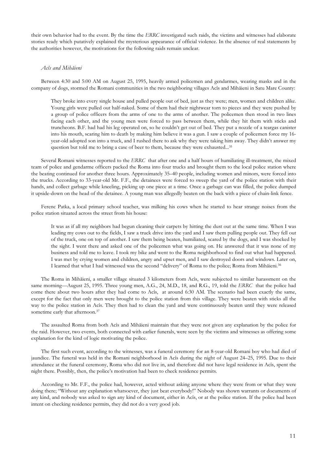their own behavior had to the event. By the time the ERRC investigated such raids, the victims and witnesses had elaborate stories ready which putatively explained the mysterious appearance of official violence. In the absence of real statements by the authorities however, the motivations for the following raids remain unclear.

## Acîs and Mihăieni

Between 4:30 and 5:00 AM on August 25, 1995, heavily armed policemen and gendarmes, wearing masks and in the company of dogs, stormed the Romani communities in the two neighboring villages Acîs and Mihăieni in Satu Mare County:

They broke into every single house and pulled people out of bed, just as they were; men, women and children alike. Young girls were pulled out half-naked. Some of them had their nightwear torn to pieces and they were pushed by a group of police officers from the arms of one to the arms of another. The policemen then stood in two lines facing each other, and the young men were forced to pass between them, while they hit them with sticks and truncheons. B.F. had had his leg operated on, so he couldn't get out of bed. They put a nozzle of a teargas canister into his mouth, scaring him to death by making him believe it was a gun. I saw a couple of policemen force my 16year-old adopted son into a truck, and I rushed there to ask why they were taking him away. They didn't answer my question but told me to bring a case of beer to them, because they were exhausted...<sup>35</sup>

Several Romani witnesses reported to the ERRC that after one and a half hours of humiliating ill-treatment, the mixed team of police and gendarme officers packed the Roma into four trucks and brought them to the local police station where the beating continued for another three hours. Approximately 35–40 people, including women and minors, were forced into the trucks. According to 33-year-old Mr. F.F., the detainees were forced to sweep the yard of the police station with their hands, and collect garbage while kneeling, picking up one piece at a time. Once a garbage can was filled, the police dumped it upside-down on the head of the detainee. A young man was allegedly beaten on the back with a piece of chain-link fence.

Ferenc Patka, a local primary school teacher, was milking his cows when he started to hear strange noises from the police station situated across the street from his house:

It was as if all my neighbors had begun cleaning their carpets by hitting the dust out at the same time. When I was leading my cows out to the fields, I saw a truck drive into the yard and I saw them pulling people out. They fell out of the truck, one on top of another. I saw them being beaten, humiliated, scared by the dogs, and I was shocked by the sight. I went there and asked one of the policemen what was going on. He answered that it was none of my business and told me to leave. I took my bike and went to the Roma neighborhood to find out what had happened. I was met by crying women and children, angry and upset men, and I saw destroyed doors and windows. Later on, I learned that what I had witnessed was the second "delivery" of Roma to the police; Roma from Mihăieni.<sup>36</sup>

The Roma in Mihăieni, a smaller village situated 3 kilometers from Acîs, were subjected to similar harassment on the same morning—August 25, 1995. Three young men, A.G., 24, M.D., 18, and R.G., 19, told the ERRC that the police had come there about two hours after they had come to Acîs, at around 6:30 AM. The scenario had been exactly the same, except for the fact that only men were brought to the police station from this village. They were beaten with sticks all the way to the police station in Acîs. They then had to clean the yard and were continuously beaten until they were released sometime early that afternoon.<sup>37</sup>

The assaulted Roma from both Acîs and Mihăieni maintain that they were not given any explanation by the police for the raid. However, two events, both connected with earlier funerals, were seen by the victims and witnesses as offering some explanation for the kind of logic motivating the police.

The first such event, according to the witnesses, was a funeral ceremony for an 8-year-old Romani boy who had died of jaundice. The funeral was held in the Romani neighborhood in Acîs during the night of August 24–25, 1995. Due to their attendance at the funeral ceremony, Roma who did not live in, and therefore did not have legal residence in Acîs, spent the night there. Possibly, then, the police's motivation had been to check residence permits.

According to Mr. F.F., the police had, however, acted without asking anyone where they were from or what they were doing there; "Without any explanation whatsoever, they just beat everybody!" Nobody was shown warrants or documents of any kind, and nobody was asked to sign any kind of document, either in Acîs, or at the police station. If the police had been intent on checking residence permits, they did not do a very good job.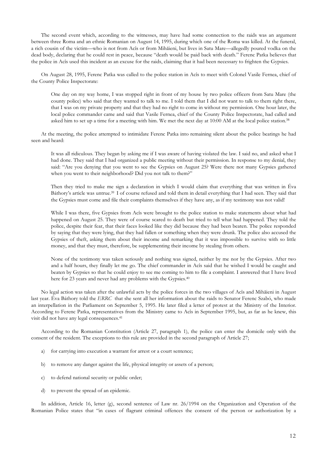The second event which, according to the witnesses, may have had some connection to the raids was an argument between three Roma and an ethnic Romanian on August 14, 1995, during which one of the Roma was killed. At the funeral, a rich cousin of the victim—who is not from Acîs or from Mihăieni, but lives in Satu Mare—allegedly poured vodka on the dead body, declaring that he could rest in peace, because "death would be paid back with death." Ferenc Patka believes that the police in Acîs used this incident as an excuse for the raids, claiming that it had been necessary to frighten the Gypsies.

On August 28, 1995, Ferenc Patka was called to the police station in Acîs to meet with Colonel Vasile Fernea, chief of the County Police Inspectorate:

One day on my way home, I was stopped right in front of my house by two police officers from Satu Mare (the county police) who said that they wanted to talk to me. I told them that I did not want to talk to them right there, that I was on my private property and that they had no right to come in without my permission. One hour later, the local police commander came and said that Vasile Fernea, chief of the County Police Inspectorate, had called and asked him to set up a time for a meeting with him. We met the next day at 10:00 AM at the local police station.<sup>38</sup>

At the meeting, the police attempted to intimidate Ferenc Patka into remaining silent about the police beatings he had seen and heard:

It was all ridiculous. They began by asking me if I was aware of having violated the law. I said no, and asked what I had done. They said that I had organized a public meeting without their permission. In response to my denial, they said: "Are you denying that you went to see the Gypsies on August 25? Were there not many Gypsies gathered when you went to their neighborhood? Did you not talk to them?"

Then they tried to make me sign a declaration in which I would claim that everything that was written in Éva Báthory's article was untrue.<sup>39</sup> I of course refused and told them in detail everything that I had seen. They said that the Gypsies must come and file their complaints themselves if they have any, as if my testimony was not valid!

While I was there, five Gypsies from Acîs were brought to the police station to make statements about what had happened on August 25. They were of course scared to death but tried to tell what had happened. They told the police, despite their fear, that their faces looked like they did because they had been beaten. The police responded by saying that they were lying, that they had fallen or something when they were drunk. The police also accused the Gypsies of theft, asking them about their income and remarking that it was impossible to survive with so little money, and that they must, therefore, be supplementing their income by stealing from others.

None of the testimony was taken seriously and nothing was signed, neither by me nor by the Gypsies. After two and a half hours, they finally let me go. The chief commander in Acîs said that he wished I would be caught and beaten by Gypsies so that he could enjoy to see me coming to him to file a complaint. I answered that I have lived here for 23 years and never had any problems with the Gypsies.<sup>40</sup>

No legal action was taken after the unlawful acts by the police forces in the two villages of Acîs and Mihăieni in August last year. Éva Báthory told the ERRC that she sent all her information about the raids to Senator Ferenc Szabó, who made an interpellation in the Parliament on September 5, 1995. He later filed a letter of protest at the Ministry of the Interior. According to Ferenc Patka, representatives from the Ministry came to Acîs in September 1995, but, as far as he knew, this visit did not have any legal consequences.<sup>41</sup>

According to the Romanian Constitution (Article 27, paragraph 1), the police can enter the domicile only with the consent of the resident. The exceptions to this rule are provided in the second paragraph of Article 27;

- a) for carrying into execution a warrant for arrest or a court sentence;
- b) to remove any danger against the life, physical integrity or assets of a person;
- c) to defend national security or public order;
- to prevent the spread of an epidemic.  $\mathbf{d}$

In addition, Article 16, letter (g), second sentence of Law nr. 26/1994 on the Organization and Operation of the Romanian Police states that "in cases of flagrant criminal offences the consent of the person or authorization by a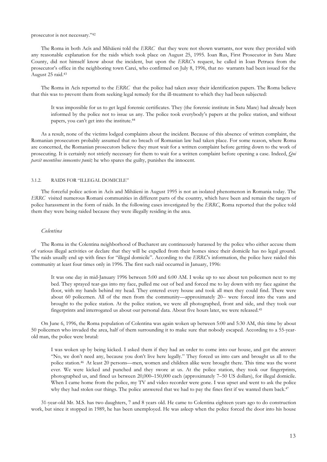prosecutor is not necessary."42

The Roma in both Acîs and Mihăieni told the ERRC that they were not shown warrants, nor were they provided with any reasonable explanation for the raids which took place on August 25, 1995. Ioan Rus, First Prosecutor in Satu Mare County, did not himself know about the incident, but upon the ERRCs request, he called in Ioan Petruca from the prosecutor's office in the neighboring town Carei, who confirmed on July 8, 1996, that no warrants had been issued for the August 25 raid.<sup>43</sup>

The Roma in Acîs reported to the ERRC that the police had taken away their identification papers. The Roma believe that this was to prevent them from seeking legal remedy for the ill-treatment to which they had been subjected:

It was impossible for us to get legal forensic certificates. They (the forensic institute in Satu Mare) had already been informed by the police not to issue us any. The police took everybody's papers at the police station, and without papers, you can't get into the institute.<sup>44</sup>

As a result, none of the victims lodged complaints about the incident. Because of this absence of written complaint, the Romanian prosecutors probably assumed that no breach of Romanian law had taken place. For some reason, where Roma are concerned, the Romanian prosecutors believe they must wait for a written complaint before getting down to the work of prosecuting. It is certainly not strictly necessary for them to wait for a written complaint before opening a case. Indeed, Oui parcit nocentibus innocentes punit; he who spares the guilty, punishes the innocent.

#### $3.1.2.$ RAIDS FOR "ILLEGAL DOMICILE"

The forceful police action in Acîs and Mihăieni in August 1995 is not an isolated phenomenon in Romania today. The ERRC visited numerous Romani communities in different parts of the country, which have been and remain the targets of police harassment in the form of raids. In the following cases investigated by the ERRC, Roma reported that the police told them they were being raided because they were illegally residing in the area.

## Colentina

The Roma in the Colentina neighborhood of Bucharest are continuously harassed by the police who either accuse them of various illegal activities or declare that they will be expelled from their homes since their domicile has no legal ground. The raids usually end up with fines for "illegal domicile". According to the ERRC's information, the police have raided this community at least four times only in 1996. The first such raid occurred in January, 1996:

It was one day in mid-January 1996 between 5:00 and 6:00 AM. I woke up to see about ten policemen next to my bed. They sprayed tear-gas into my face, pulled me out of bed and forced me to lay down with my face against the floor, with my hands behind my head. They entered every house and took all men they could find. There were about 60 policemen. All of the men from the community—approximately 20-- were forced into the vans and brought to the police station. At the police station, we were all photographed, front and side, and they took our fingerprints and interrogated us about our personal data. About five hours later, we were released.<sup>45</sup>

On June 6, 1996, the Roma population of Colentina was again woken up between 5:00 and 5:30 AM, this time by about 50 policemen who invaded the area, half of them surrounding it to make sure that nobody escaped. According to a 55-yearold man, the police were brutal:

I was woken up by being kicked. I asked them if they had an order to come into our house, and got the answer: "No, we don't need any, because you don't live here legally." They forced us into cars and brought us all to the police station.<sup>46</sup> At least 20 persons-men, women and children alike were brought there. This time was the worst ever. We were kicked and punched and they swore at us. At the police station, they took our fingerprints, photographed us, and fined us between 20,000-150,000 each (approximately 7-50 US dollars), for illegal domicile. When I came home from the police, my TV and video recorder were gone. I was upset and went to ask the police why they had stolen our things. The police answered that we had to pay the fines first if we wanted them back.<sup>47</sup>

31-year-old Mr. M.S. has two daughters, 7 and 8 years old. He came to Colentina eighteen years ago to do construction work, but since it stopped in 1989, he has been unemployed. He was asleep when the police forced the door into his house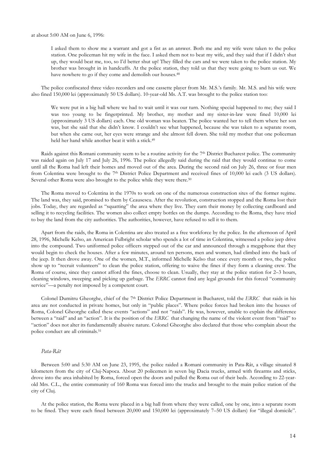at about 5:00 AM on June 6, 1996:

I asked them to show me a warrant and got a fist as an answer. Both me and my wife were taken to the police station. One policeman hit my wife in the face. I asked them not to beat my wife, and they said that if I didn't shut up, they would beat me, too, so I'd better shut up! They filled the cars and we were taken to the police station. My brother was brought in in handcuffs. At the police station, they told us that they were going to burn us out. We have nowhere to go if they come and demolish our houses.<sup>48</sup>

The police confiscated three video recorders and one cassette player from Mr. M.S.'s family. Mr. M.S. and his wife were also fined 150,000 lei (approximately 50 US dollars). 10-year-old Ms. A.T. was brought to the police station too:

We were put in a big hall where we had to wait until it was our turn. Nothing special happened to me; they said I was too young to be fingerprinted. My brother, my mother and my sister-in-law were fined 10,000 lei (approximately 3 US dollars) each. One old woman was beaten. The police wanted her to tell them where her son was, but she said that she didn't know. I couldn't see what happened, because she was taken to a separate room, but when she came out, her eyes were strange and she almost fell down. She told my mother that one policeman held her hand while another beat it with a stick.<sup>49</sup>

Raids against this Romani community seem to be a routine activity for the 7<sup>th</sup> District Bucharest police. The community was raided again on July 17 and July 26, 1996. The police allegedly said during the raid that they would continue to come until all the Roma had left their homes and moved out of the area. During the second raid on July 26, three or four men from Colentina were brought to the 7<sup>th</sup> District Police Department and received fines of 10,000 lei each (3 US dollars). Several other Roma were also brought to the police while they were there.<sup>50</sup>

The Roma moved to Colentina in the 1970s to work on one of the numerous construction sites of the former regime. The land was, they said, promised to them by Ceausescu. After the revolution, construction stopped and the Roma lost their jobs. Today, they are regarded as "squatting" the area where they live. They earn their money by collecting cardboard and selling it to recycling facilities. The women also collect empty bottles on the dumps. According to the Roma, they have tried to buy the land from the city authorities. The authorities, however, have refused to sell it to them.

Apart from the raids, the Roma in Colentina are also treated as a free workforce by the police. In the afternoon of April 28, 1996, Michelle Kelso, an American Fulbright scholar who spends a lot of time in Colentina, witnessed a police jeep drive into the compound. Two uniformed police officers stepped out of the car and announced through a megaphone that they would begin to check the houses. After a few minutes, around ten persons, men and women, had climbed into the back of the jeep. It then drove away. One of the women, M.T., informed Michelle Kelso that once every month or two, the police show up to "recruit volunteers" to clean the police station, offering to waive the fines if they form a cleaning crew. The Roma of course, since they cannot afford the fines, choose to clean. Usually, they stay at the police station for 2-3 hours, cleaning windows, sweeping and picking up garbage. The ERRC cannot find any legal grounds for this forced "community service"-a penalty not imposed by a competent court.

Colonel Dumitru Gheorghe, chief of the 7<sup>th</sup> District Police Department in Bucharest, told the ERRC that raids in his area are not conducted in private homes, but only in "public places". Where police forces had broken into the houses of Roma, Colonel Gheorghe called these events "actions" and not "raids". He was, however, unable to explain the difference between a "raid" and an "action". It is the position of the ERRC that changing the name of the violent event from "raid" to "action" does not alter its fundamentally abusive nature. Colonel Gheorghe also declared that those who complain about the police conduct are all criminals.<sup>51</sup>

## Pata-Rât

Between 5:00 and 5:30 AM on June 23, 1995, the police raided a Romani community in Pata-Rât, a village situated 8 kilometers from the city of Cluj-Napoca. About 20 policemen in seven big Dacia trucks, armed with firearms and sticks, drove into the area inhabited by Roma, forced open the doors and pulled the Roma out of their beds. According to 22-yearold Mrs. C.L., the entire community of 160 Roma was forced into the trucks and brought to the main police station of the city of Cluj.

At the police station, the Roma were placed in a big hall from where they were called, one by one, into a separate room to be fined. They were each fined between 20,000 and 150,000 lei (approximately 7-50 US dollars) for "illegal domicile".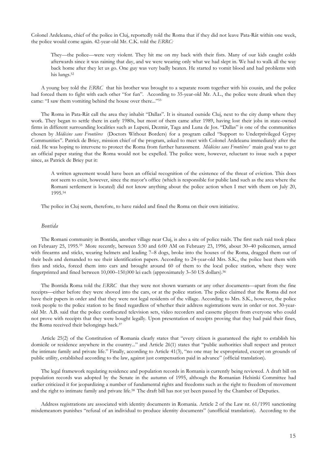Colonel Ardeleanu, chief of the police in Cluj, reportedly told the Roma that if they did not leave Pata-Rât within one week, the police would come again. 42-year-old Mr. C.K. told the ERRC:

They—the police—were very violent. They hit me on my back with their fists. Many of our kids caught colds afterwards since it was raining that day, and we were wearing only what we had slept in. We had to walk all the way back home after they let us go. One guy was very badly beaten. He started to vomit blood and had problems with his lungs.<sup>52</sup>

A young boy told the ERRC that his brother was brought to a separate room together with his cousin, and the police had forced them to fight with each other "for fun". According to 35-year-old Mr. A.L., the police were drunk when they came: "I saw them vomiting behind the house over there..."<sup>53</sup>

The Roma in Pata-Rât call the area they inhabit "Dallas". It is situated outside Cluj, next to the city dump where they work. They began to settle there in early 1980s, but most of them came after 1989, having lost their jobs in state-owned firms in different surrounding localities such as Lupeni, Dezmir, Taga and Luna de Jos. "Dallas" is one of the communities chosen by Médécins sans Frontières (Doctors Without Borders) for a program called "Support to Underprivileged Gypsy Communities". Patrick de Briey, mission chief of the program, asked to meet with Colonel Ardeleanu immediately after the raid. He was hoping to intervene to protect the Roma from further harassment. Médécins sans Frontières' main goal was to get an official paper stating that the Roma would not be expelled. The police were, however, reluctant to issue such a paper since, as Patrick de Briey put it:

A written agreement would have been an official recognition of the existence of the threat of eviction. This does not seem to exist, however, since the mayor's office (which is responsible for public land such as the area where the Romani settlement is located) did not know anything about the police action when I met with them on July 20, 1995.54

The police in Cluj seem, therefore, to have raided and fined the Roma on their own initiative.

## **Bontida**

The Romani community in Bontida, another village near Cluj, is also a site of police raids. The first such raid took place on February 25, 1995.<sup>55</sup> More recently, between 5:30 and 6:00 AM on February 23, 1996, about 30–40 policemen, armed with firearms and sticks, wearing helmets and leading 7-8 dogs, broke into the houses of the Roma, dragged them out of their beds and demanded to see their identification papers. According to 24-year-old Mrs. S.K., the police beat them with fists and sticks, forced them into cars and brought around 60 of them to the local police station, where they were fingerprinted and fined between 10,000-150,000 lei each (approximately 3-50 US dollars).<sup>56</sup>

The Bontida Roma told the ERRC that they were not shown warrants or any other documents—apart from the fine receipts—either before they were shoved into the cars, or at the police station. The police claimed that the Roma did not have their papers in order and that they were not legal residents of the village. According to Mrs. S.K., however, the police took people to the police station to be fined regardless of whether their address registrations were in order or not. 30-yearold Mr. A.B. said that the police confiscated television sets, video recorders and cassette players from everyone who could not prove with receipts that they were bought legally. Upon presentation of receipts proving that they had paid their fines, the Roma received their belongings back.<sup>57</sup>

Article 25(2) of the Constitution of Romania clearly states that "every citizen is guaranteed the right to establish his domicile or residence anywhere in the country..." and Article 26(1) states that "public authorities shall respect and protect the intimate family and private life." Finally, according to Article 41(3), "no one may be expropriated, except on grounds of public utility, established according to the law, against just compensation paid in advance" (official translation).

The legal framework regulating residence and population records in Romania is currently being reviewed. A draft bill on population records was adopted by the Senate in the autumn of 1995, although the Romanian Helsinki Committee had earlier criticized it for jeopardizing a number of fundamental rights and freedoms such as the right to freedom of movement and the right to intimate family and private life.<sup>58</sup> The draft bill has not yet been passed by the Chamber of Deputies.

Address registrations are associated with identity documents in Romania. Article 2 of the Law nr. 61/1991 sanctioning misdemeanors punishes "refusal of an individual to produce identity documents" (unofficial translation). According to the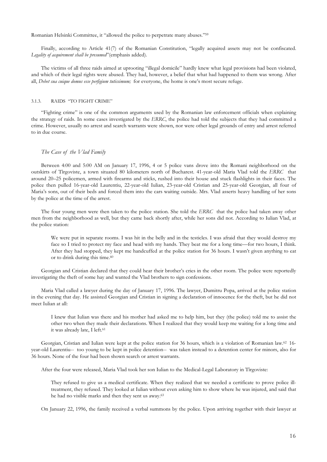Romanian Helsinki Committee, it "allowed the police to perpetrate many abuses."<sup>59</sup>

Finally, according to Article 41(7) of the Romanian Constitution, "legally acquired assets may not be confiscated. Legality of acquirement shall be presumed" (emphasis added).

The victims of all three raids aimed at uprooting "illegal domicile" hardly knew what legal provisions had been violated, and which of their legal rights were abused. They had, however, a belief that what had happened to them was wrong. After all, Debet sua cuique domus esse perfigium tutissimum; for everyone, the home is one's most secure refuge.

#### RAIDS "TO FIGHT CRIME"  $3.1.3.$

"Fighting crime" is one of the common arguments used by the Romanian law enforcement officials when explaining the strategy of raids. In some cases investigated by the ERRC, the police had told the subjects that they had committed a crime. However, usually no arrest and search warrants were shown, nor were other legal grounds of entry and arrest referred to in due course.

#### The Case of the Vlad Family

Between 4:00 and 5:00 AM on January 17, 1996, 4 or 5 police vans drove into the Romani neighborhood on the outskirts of Tirgoviste, a town situated 80 kilometers north of Bucharest. 41-year-old Maria Vlad told the ERRC that around 20–25 policemen, armed with firearms and sticks, rushed into their house and stuck flashlights in their faces. The police then pulled 16-year-old Laurentiu, 22-year-old Iulian, 23-year-old Cristian and 25-year-old Georgian, all four of Maria's sons, out of their beds and forced them into the cars waiting outside. Mrs. Vlad asserts heavy handling of her sons by the police at the time of the arrest.

The four young men were then taken to the police station. She told the ERRC that the police had taken away other men from the neighborhood as well, but they came back shortly after, while her sons did not. According to Iulian Vlad, at the police station:

We were put in separate rooms. I was hit in the belly and in the testicles. I was afraid that they would destroy my face so I tried to protect my face and head with my hands. They beat me for a long time—for two hours, I think. After they had stopped, they kept me handcuffed at the police station for 36 hours. I wasn't given anything to eat or to drink during this time.<sup>60</sup>

Georgian and Cristian declared that they could hear their brother's cries in the other room. The police were reportedly investigating the theft of some hay and wanted the Vlad brothers to sign confessions.

Maria Vlad called a lawyer during the day of January 17, 1996. The lawyer, Dumitru Popa, arrived at the police station in the evening that day. He assisted Georgian and Cristian in signing a declaration of innocence for the theft, but he did not meet Iulian at all:

I knew that Iulian was there and his mother had asked me to help him, but they (the police) told me to assist the other two when they made their declarations. When I realized that they would keep me waiting for a long time and it was already late, I left.<sup>61</sup>

Georgian, Cristian and Iulian were kept at the police station for 36 hours, which is a violation of Romanian law.<sup>62</sup> 16year-old Laurentiu-- too young to be kept in police detention-- was taken instead to a detention center for minors, also for 36 hours. None of the four had been shown search or arrest warrants.

After the four were released, Maria Vlad took her son Iulian to the Medical-Legal Laboratory in Tirgoviste:

They refused to give us a medical certificate. When they realized that we needed a certificate to prove police illtreatment, they refused. They looked at Iulian without even asking him to show where he was injured, and said that he had no visible marks and then they sent us away.<sup>63</sup>

On January 22, 1996, the family received a verbal summons by the police. Upon arriving together with their lawyer at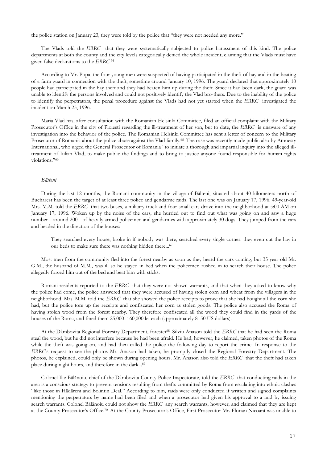the police station on January 23, they were told by the police that "they were not needed any more."

The Vlads told the ERRC that they were systematically subjected to police harassment of this kind. The police departments at both the county and the city levels categorically denied the whole incident, claiming that the Vlads must have given false declarations to the ERRC.<sup>64</sup>

According to Mr. Popa, the four young men were suspected of having participated in the theft of hay and in the beating of a farm guard in connection with the theft, sometime around January 10, 1996. The guard declared that approximately 10 people had participated in the hay theft and they had beaten him up during the theft. Since it had been dark, the guard was unable to identify the persons involved and could not positively identify the Vlad bro-thers. Due to the inability of the police to identify the perpetrators, the penal procedure against the Vlads had not yet started when the ERRC investigated the incident on March 25, 1996.

Maria Vlad has, after consultation with the Romanian Helsinki Committee, filed an official complaint with the Military Prosecutor's Office in the city of Ploiesti regarding the ill-treatment of her son, but to date, the ERRC is unaware of any investigation into the behavior of the police. The Romanian Helsinki Committee has sent a letter of concern to the Military Prosecutor of Romania about the police abuse against the Vlad family.<sup>65</sup> The case was recently made public also by Amnesty International, who urged the General Prosecutor of Romania "to initiate a thorough and impartial inquiry into the alleged illtreatment of Iulian Vlad, to make public the findings and to bring to justice anyone found responsible for human rights violations."66

#### Bălteni

During the last 12 months, the Romani community in the village of Bălteni, situated about 40 kilometers north of Bucharest has been the target of at least three police and gendarme raids. The last one was on January 17, 1996. 49-year-old Mrs. M.M. told the ERRC that two buses, a military truck and four small cars drove into the neighborhood at 5:00 AM on January 17, 1996. Woken up by the noise of the cars, she hurried out to find out what was going on and saw a huge number—around 200-- of heavily armed policemen and gendarmes with approximately 30 dogs. They jumped from the cars and headed in the direction of the houses:

They searched every house, broke in if nobody was there, searched every single corner. they even cut the hay in our beds to make sure there was nothing hidden there...<sup>67</sup>

Most men from the community fled into the forest nearby as soon as they heard the cars coming, but 35-year-old Mr. G.M., the husband of M.M., was ill so he stayed in bed when the policemen rushed in to search their house. The police allegedly forced him out of the bed and beat him with sticks.

Romani residents reported to the ERRC that they were not shown warrants, and that when they asked to know why the police had come, the police answered that they were accused of having stolen corn and wheat from the villagers in the neighborhood. Mrs. M.M. told the ERRC that she showed the police receipts to prove that she had bought all the corn she had, but the police tore up the receipts and confiscated her corn as stolen goods. The police also accused the Roma of having stolen wood from the forest nearby. They therefore confiscated all the wood they could find in the yards of the houses of the Roma, and fined them 25,000–160,000 lei each (approximately 8–50 US dollars).

At the Dâmbovita Regional Forestry Department, forester<sup>68</sup> Silviu Anason told the ERRC that he had seen the Roma steal the wood, but he did not interfere because he had been afraid. He had, however, he claimed, taken photos of the Roma while the theft was going on, and had then called the police the following day to report the crime. In response to the ERRCs request to see the photos Mr. Anason had taken, he promptly closed the Regional Forestry Department. The photos, he explained, could only be shown during opening hours. Mr. Anason also told the ERRC that the theft had taken place during night hours, and therefore in the dark...<sup>69</sup>

Colonel Ilie Bălănoiu, chief of the Dâmbovita County Police Inspectorate, told the ERRC that conducting raids in the area is a conscious strategy to prevent tensions resulting from thefts committed by Roma from escalating into ethnic clashes "like those in Hădăreni and Bolintin Deal." According to him, raids were only conducted if written and signed complaints mentioning the perpetrators by name had been filed and when a prosecutor had given his approval to a raid by issuing search warrants. Colonel Bălănoiu could not show the ERRC any search warrants, however, and claimed that they are kept at the County Prosecutor's Office.<sup>70</sup> At the County Prosecutor's Office, First Prosecutor Mr. Florian Nicoară was unable to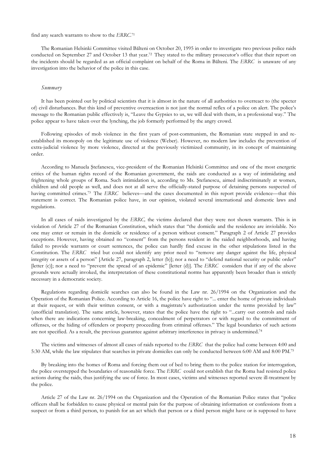#### find any search warrants to show to the ERRC.71

The Romanian Helsinki Committee visited Bălteni on October 20, 1995 in order to investigate two previous police raids conducted on September 27 and October 13 that year.<sup>72</sup> They stated to the military prosecutor's office that their report on the incidents should be regarded as an official complaint on behalf of the Roma in Bălteni. The ERRC is unaware of any investigation into the behavior of the police in this case.

#### Summary

It has been pointed out by political scientists that it is almost in the nature of all authorities to overreact to (the specter of) civil disturbances. But this kind of preventive overreaction is not just the normal reflex of a police on alert. The police's message to the Romanian public effectively is, "Leave the Gypsies to us, we will deal with them, in a professional way." The police appear to have taken over the lynching, the job formerly performed by the angry crowd.

Following episodes of mob violence in the first years of post-communism, the Romanian state stepped in and reestablished its monopoly on the legitimate use of violence (Weber). However, no modern law includes the prevention of extra-judicial violence by more violence, directed at the previously victimized community, in its concept of maintaining order.

According to Manuela Stefanescu, vice-president of the Romanian Helsinki Committee and one of the most energetic critics of the human rights record of the Romanian government, the raids are conducted as a way of intimidating and frightening whole groups of Roma. Such intimidation is, according to Ms. Stefanescu, aimed indiscriminately at women, children and old people as well, and does not at all serve the officially-stated purpose of detaining persons suspected of having committed crimes.<sup>73</sup> The ERRC believes—and the cases documented in this report provide evidence—that this statement is correct. The Romanian police have, in our opinion, violated several international and domestic laws and regulations.

In all cases of raids investigated by the ERRC, the victims declared that they were not shown warrants. This is in violation of Article 27 of the Romanian Constitution, which states that "the domicile and the residence are inviolable. No one may enter or remain in the domicile or residence of a person without consent." Paragraph 2 of Article 27 provides exceptions. However, having obtained no "consent" from the persons resident in the raided neighborhoods, and having failed to provide warrants or court sentences, the police can hardly find excuse in the other stipulations listed in the Constitution. The ERRC tried but could not identify any prior need to "remove any danger against the life, physical integrity or assets of a person" [Article 27, paragraph 2, letter (b)]; nor a need to "defend national security or public order" [letter (c)]; nor a need to "prevent the spread of an epidemic" [letter (d)]. The ERRC considers that if any of the above grounds were actually invoked, the interpretation of these constitutional norms has apparently been broader than is strictly necessary in a democratic society.

Regulations regarding domicile searches can also be found in the Law nr. 26/1994 on the Organization and the Operation of the Romanian Police. According to Article 16, the police have right to "... enter the home of private individuals at their request, or with their written consent, or with a magistrate's authorization under the terms provided by law" (unofficial translation). The same article, however, states that the police have the right to "...carry out controls and raids when there are indications concerning law-breaking, concealment of perpetrators or with regard to the commitment of offenses, or the hiding of offenders or property proceeding from criminal offenses." The legal boundaries of such actions are not specified. As a result, the previous guarantee against arbitrary interference in privacy is undermined.<sup>74</sup>

The victims and witnesses of almost all cases of raids reported to the ERRC that the police had come between 4:00 and 5:30 AM, while the law stipulates that searches in private domiciles can only be conducted between 6:00 AM and 8:00 PM.75

By breaking into the homes of Roma and forcing them out of bed to bring them to the police station for interrogation, the police overstepped the boundaries of reasonable force. The ERRC could not establish that the Roma had resisted police actions during the raids, thus justifying the use of force. In most cases, victims and witnesses reported severe ill-treatment by the police.

Article 27 of the Law nr. 26/1994 on the Organization and the Operation of the Romanian Police states that "police officers shall be forbidden to cause physical or mental pain for the purpose of obtaining information or confessions from a suspect or from a third person, to punish for an act which that person or a third person might have or is supposed to have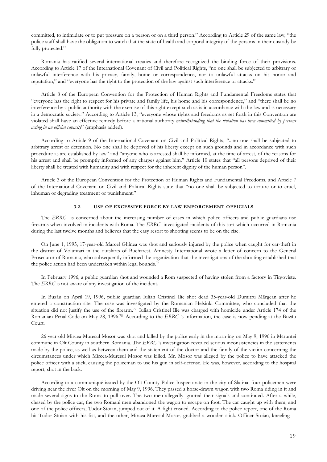committed, to intimidate or to put pressure on a person or on a third person." According to Article 29 of the same law, "the police staff shall have the obligation to watch that the state of health and corporal integrity of the persons in their custody be fully protected."

Romania has ratified several international treaties and therefore recognized the binding force of their provisions. According to Article 17 of the International Covenant of Civil and Political Rights, "no one shall be subjected to arbitrary or unlawful interference with his privacy, family, home or correspondence, nor to unlawful attacks on his honor and reputation," and "everyone has the right to the protection of the law against such interference or attacks."

Article 8 of the European Convention for the Protection of Human Rights and Fundamental Freedoms states that "everyone has the right to respect for his private and family life, his home and his correspondence," and "there shall be no interference by a public authority with the exercise of this right except such as is in accordance with the law and is necessary in a democratic society." According to Article 13, "everyone whose rights and freedoms as set forth in this Convention are violated shall have an effective remedy before a national authority notwithstanding that the violation has been committed by persons acting in an official capacity" (emphasis added).

According to Article 9 of the International Covenant on Civil and Political Rights, "...no one shall be subjected to arbitrary arrest or detention. No one shall be deprived of his liberty except on such grounds and in accordance with such procedure as are established by law" and "anyone who is arrested shall be informed, at the time of arrest, of the reasons for his arrest and shall be promptly informed of any charges against him." Article 10 states that "all persons deprived of their liberty shall be treated with humanity and with respect for the inherent dignity of the human person".

Article 3 of the European Convention for the Protection of Human Rights and Fundamental Freedoms, and Article 7 of the International Covenant on Civil and Political Rights state that "no one shall be subjected to torture or to cruel, inhuman or degrading treatment or punishment."

#### USE OF EXCESSIVE FORCE BY LAW ENFORCEMENT OFFICIALS  $3.2.$

The ERRC is concerned about the increasing number of cases in which police officers and public guardians use firearms when involved in incidents with Roma. The ERRC investigated incidents of this sort which occurred in Romania during the last twelve months and believes that the easy resort to shooting seems to be on the rise.

On June 1, 1995, 17-year-old Marcel Ghînea was shot and seriously injured by the police when caught for car-theft in the district of Voluntari in the outskirts of Bucharest. Amnesty International wrote a letter of concern to the General Prosecutor of Romania, who subsequently informed the organization that the investigations of the shooting established that the police action had been undertaken within legal bounds.<sup>76</sup>

In February 1996, a public guardian shot and wounded a Rom suspected of having stolen from a factory in Tirgoviste. The ERRC is not aware of any investigation of the incident.

In Buzău on April 19, 1996, public guardian Iulian Cristinel Ilie shot dead 35-year-old Dumitru Mărgean after he entered a construction site. The case was investigated by the Romanian Helsinki Committee, who concluded that the situation did not justify the use of the firearm.<sup>77</sup> Iulian Cristinel Ilie was charged with homicide under Article 174 of the Romanian Penal Code on May 28, 1996.<sup>78</sup> According to the ERRC 's information, the case is now pending at the Buzău Court.

26-year-old Mircea-Muresul Mosor was shot and killed by the police early in the morn-ing on May 9, 1996 in Măruntei commune in Olt County in southern Romania. The ERRC's investigation revealed serious inconsistencies in the statements made by the police, as well as between them and the statement of the doctor and the family of the victim concerning the circumstances under which Mircea-Muresul Mosor was killed. Mr. Mosor was alleged by the police to have attacked the police officer with a stick, causing the policeman to use his gun in self-defense. He was, however, according to the hospital report, shot in the back.

According to a communiqué issued by the Olt County Police Inspectorate in the city of Slatina, four policemen were driving near the river Olt on the morning of May 9, 1996. They passed a horse-drawn wagon with two Roma riding in it and made several signs to the Roma to pull over. The two men allegedly ignored their signals and continued. After a while, chased by the police car, the two Romani men abandoned the wagon to escape on foot. The car caught up with them, and one of the police officers, Tudor Stoian, jumped out of it. A fight ensued. According to the police report, one of the Roma hit Tudor Stoian with his fist, and the other, Mircea-Muresul Mosor, grabbed a wooden stick. Officer Stoian, kneeling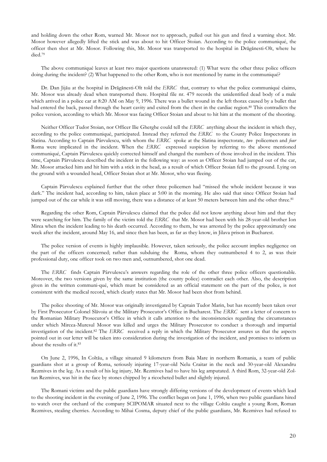and holding down the other Rom, warned Mr. Mosor not to approach, pulled out his gun and fired a warning shot. Mr. Mosor however allegedly lifted the stick and was about to hit Officer Stoian. According to the police communiqué, the officer then shot at Mr. Mosor. Following this, Mr. Mosor was transported to the hospital in Drăgănesti-Olt, where he died.<sup>79</sup>

The above communiqué leaves at least two major questions unanswered: (1) What were the other three police officers doing during the incident? (2) What happened to the other Rom, who is not mentioned by name in the communiqué?

Dr. Dan Jijău at the hospital in Drăgănesti-Olt told the ERRC that, contrary to what the police communiqué claims, Mr. Mosor was already dead when transported there. Hospital file nr. 479 records the unidentified dead body of a male which arrived in a police car at 8:20 AM on May 9, 1996. There was a bullet wound in the left thorax caused by a bullet that had entered the back, passed through the heart cavity and exited from the chest in the cardiac region.<sup>80</sup> This contradicts the police version, according to which Mr. Mosor was facing Officer Stoian and about to hit him at the moment of the shooting.

Neither Officer Tudor Stoian, nor Officer Ilie Gherghe could tell the ERRC anything about the incident in which they, according to the police communiqué, participated. Instead they referred the ERRC to the County Police Inspectorate in Slatina. According to Captain Pârvulescu, with whom the ERRC spoke at the Slatina inspectorate, two policemen and four Roma were implicated in the incident. When the ERRC expressed suspicion by referring to the above mentioned communiqué, Captain Pârvulescu quickly corrected himself and changed the numbers of those involved in the incident. This time, Captain Pârvulescu described the incident in the following way: as soon as Officer Stoian had jumped out of the car, Mr. Mosor attacked him and hit him with a stick in the head, as a result of which Officer Stoian fell to the ground. Lying on the ground with a wounded head, Officer Stoian shot at Mr. Mosor, who was fleeing.

Captain Pârvulescu explained further that the other three policemen had "missed the whole incident because it was dark." The incident had, according to him, taken place at 5:00 in the morning. He also said that since Officer Stoian had jumped out of the car while it was still moving, there was a distance of at least 50 meters between him and the other three.<sup>81</sup>

Regarding the other Rom, Captain Pârvulescu claimed that the police did not know anything about him and that they were searching for him. The family of the victim told the ERRC that Mr. Mosor had been with his 28-year-old brother Ion Mirea when the incident leading to his death occurred. According to them, he was arrested by the police approximately one week after the incident, around May 16, and since then has been, as far as they know, in Jilava prison in Bucharest.

The police version of events is highly implausible. However, taken seriously, the police account implies negligence on the part of the officers concerned; rather than subduing the Roma, whom they outnumbered 4 to 2, as was their professional duty, one officer took on two men and, outnumbered, shot one dead.

The ERRC finds Captain Pârvulescu's answers regarding the role of the other three police officers questionable. Moreover, the two versions given by the same institution (the county police) contradict each other. Also, the description given in the written communi-qué, which must be considered as an official statement on the part of the police, is not consistent with the medical record, which clearly states that Mr. Mosor had been shot from behind.

The police shooting of Mr. Mosor was originally investigated by Captain Tudor Marin, but has recently been taken over by First Prosecutor Colonel Slăvoiu at the Military Prosecutor's Office in Bucharest. The ERRC sent a letter of concern to the Romanian Military Prosecutor's Office in which it calls attention to the inconsistencies regarding the circumstances under which Mircea-Muresul Mosor was killed and urges the Military Prosecutor to conduct a thorough and impartial investigation of the incident.<sup>82</sup> The ERRC received a reply in which the Military Prosecutor assures us that the aspects pointed out in our letter will be taken into consideration during the investigation of the incident, and promises to inform us about the results of it.83

On June 2, 1996, In Coltău, a village situated 9 kilometers from Baia Mare in northern Romania, a team of public guardians shot at a group of Roma, seriously injuring 17-year-old Nelu Craitar in the neck and 30-year-old Alexandru Rezmives in the leg. As a result of his leg injury, Mr. Rezmives had to have his leg amputated. A third Rom, 32-year-old Zoltan Rezmives, was hit in the face by stones chipped by a ricocheted bullet and slightly injured.

The Romani victims and the public guardians have strongly differing versions of the development of events which lead to the shooting incident in the evening of June 2, 1996. The conflict began on June 1, 1996, when two public guardians hired to watch over the orchard of the company SCIPOMAR situated next to the village Coltău caught a young Rom, Roman Rezmives, stealing cherries. According to Mihai Cosma, deputy chief of the public guardians, Mr. Rezmives had refused to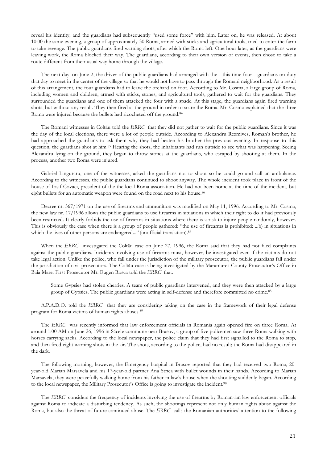reveal his identity, and the guardians had subsequently "used some force" with him. Later on, he was released. At about 10:00 the same evening, a group of approximately 30 Roma, armed with sticks and agricultural tools, tried to enter the farm to take revenge. The public guardians fired warning shots, after which the Roma left. One hour later, as the guardians were leaving work, the Roma blocked their way. The guardians, according to their own version of events, then chose to take a route different from their usual way home through the village.

The next day, on June 2, the driver of the public guardians had arranged with the-this time four-guardians on duty that day to meet in the center of the village so that he would not have to pass through the Romani neighborhood. As a result of this arrangement, the four guardians had to leave the orchard on foot. According to Mr. Cosma, a large group of Roma, including women and children, armed with sticks, stones, and agricultural tools, gathered to wait for the guardians. They surrounded the guardians and one of them attacked the four with a spade. At this stage, the guardians again fired warning shots, but without any result. They then fired at the ground in order to scare the Roma. Mr. Cosma explained that the three Roma were injured because the bullets had ricocheted off the ground.<sup>84</sup>

The Romani witnesses in Coltău told the ERRC that they did not gather to wait for the public guardians. Since it was the day of the local elections, there were a lot of people outside. According to Alexandru Rezmives, Roman's brother, he had approached the guardians to ask them why they had beaten his brother the previous evening. In response to this question, the guardians shot at him.<sup>85</sup> Hearing the shots, the inhabitants had run outside to see what was happening. Seeing Alexandru lying on the ground, they began to throw stones at the guardians, who escaped by shooting at them. In the process, another two Roma were injured.

Gabriel Linguraru, one of the witnesses, asked the guardians not to shoot so he could go and call an ambulance. According to the witnesses, the public guardians continued to shoot anyway. The whole incident took place in front of the house of Iosif Covaci, president of the the local Roma association. He had not been home at the time of the incident, but eight bullets for an automatic weapon were found on the road next to his house.<sup>86</sup>

Decree nr. 367/1971 on the use of firearms and ammunition was modified on May 11, 1996. According to Mr. Cosma, the new law nr. 17/1996 allows the public guardians to use firearms in situations in which their right to do it had previously been restricted. It clearly forbids the use of firearms in situations where there is a risk to injure people randomly, however. This is obviously the case when there is a group of people gathered: "the use of firearms is prohibited: ...b) in situations in which the lives of other persons are endangered..." (unofficial translation).<sup>87</sup>

When the ERRC investigated the Coltău case on June 27, 1996, the Roma said that they had not filed complaints against the public guardians. Incidents involving use of firearms must, however, be investigated even if the victims do not take legal action. Unlike the police, who fall under the jurisdiction of the military prosecutor, the public guardians fall under the jurisdiction of civil prosecutors. The Coltău case is being investigated by the Maramures County Prosecutor's Office in Baia Mare. First Prosecutor Mr. Eugen Rosca told the ERRC that:

Some Gypsies had stolen cherries. A team of public guardians intervened, and they were then attacked by a large group of Gypsies. The public guardians were acting in self-defense and therefore committed no crime.88

A.P.A.D.O. told the ERRC that they are considering taking on the case in the framework of their legal defense program for Roma victims of human rights abuses.<sup>89</sup>

The ERRC was recently informed that law enforcement officials in Romania again opened fire on three Roma. At around 1:00 AM on June 26, 1996 in Săcele commune near Brasov, a group of five policemen saw three Roma walking with horses carrying sacks. According to the local newspaper, the police claim that they had first signalled to the Roma to stop, and then fired eight warning shots in the air. The shots, according to the police, had no result; the Roma had disappeared in the dark.

The following morning, however, the Emergency hospital in Brasov reported that they had received two Roma, 20year-old Marian Marsavela and his 17-year-old partner Ana Strica with bullet wounds in their hands. According to Marian Marsavela, they were peacefully walking home from his father-in-law's house when the shooting suddenly began. According to the local newspaper, the Military Prosecutor's Office is going to investigate the incident.<sup>90</sup>

The ERRC considers the frequency of incidents involving the use of firearms by Roman-ian law enforcement officials against Roma to indicate a disturbing tendency. As such, the shootings represent not only human rights abuse against the Roma, but also the threat of future continued abuse. The ERRC calls the Romanian authorities' attention to the following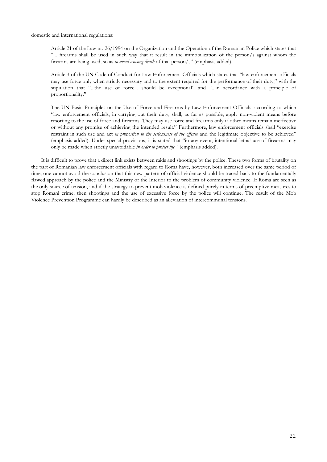domestic and international regulations:

Article 21 of the Law nr. 26/1994 on the Organization and the Operation of the Romanian Police which states that "... firearms shall be used in such way that it result in the immobilization of the person/s against whom the firearms are being used, so as to avoid causing death of that person/s" (emphasis added).

Article 3 of the UN Code of Conduct for Law Enforcement Officials which states that "law enforcement officials may use force only when strictly necessary and to the extent required for the performance of their duty," with the stipulation that "...the use of force... should be exceptional" and "...in accordance with a principle of proportionality."

The UN Basic Principles on the Use of Force and Firearms by Law Enforcement Officials, according to which "law enforcement officials, in carrying out their duty, shall, as far as possible, apply non-violent means before resorting to the use of force and firearms. They may use force and firearms only if other means remain ineffective or without any promise of achieving the intended result." Furthermore, law enforcement officials shall "exercise restraint in such use and act in proportion to the seriousness of the offense and the legitimate objective to be achieved" (emphasis added). Under special provisions, it is stated that "in any event, intentional lethal use of firearms may only be made when strictly unavoidable in order to protect life" (emphasis added).

It is difficult to prove that a direct link exists between raids and shootings by the police. These two forms of brutality on the part of Romanian law enforcement officials with regard to Roma have, however, both increased over the same period of time; one cannot avoid the conclusion that this new pattern of official violence should be traced back to the fundamentally flawed approach by the police and the Ministry of the Interior to the problem of community violence. If Roma are seen as the only source of tension, and if the strategy to prevent mob violence is defined purely in terms of preemptive measures to stop Romani crime, then shootings and the use of excessive force by the police will continue. The result of the Mob Violence Prevention Programme can hardly be described as an alleviation of intercommunal tensions.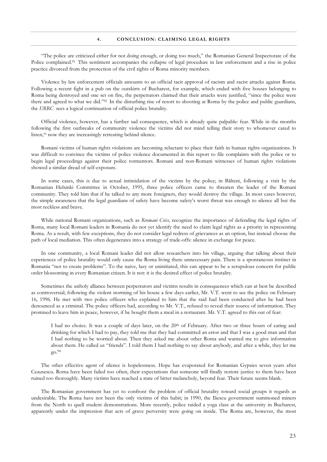"The police are criticized either for not doing enough, or doing too much," the Romanian General Inspectorate of the Police complained.<sup>91</sup> This sentiment accompanies the collapse of legal procedure in law enforcement and a rise in police practice divorced from the protection of the civil rights of Roma minority members.

Violence by law enforcement officials amounts to an official tacit approval of racism and racist attacks against Roma. Following a recent fight in a pub on the outskirts of Bucharest, for example, which ended with five houses belonging to Roma being destroyed and one set on fire, the perpetrators claimed that their attacks were justified, "since the police were there and agreed to what we did."<sup>92</sup> In the disturbing rise of resort to shooting at Roma by the police and public guardians, the ERRC sees a logical continuation of official police brutality.

Official violence, however, has a further sad consequence, which is already quite palpable: fear. While in the months following the first outbreaks of community violence the victims did not mind telling their story to whomever cared to listen,<sup>93</sup> now they are increasingly retreating behind silence.

Romani victims of human rights violations are becoming reluctant to place their faith in human rights organizations. It was difficult to convince the victims of police violence documented in this report to file complaints with the police or to begin legal proceedings against their police tormentors. Romani and non-Romani witnesses of human rights violations showed a similar dread of self-exposure.

In some cases, this is due to actual intimidation of the victims by the police; in Bălteni, following a visit by the Romanian Helsinki Committee in October, 1995, three police officers came to threaten the leader of the Romani community. They told him that if he talked to any more foreigners, they would destroy the village. In most cases however, the simple awareness that the legal guardians of safety have become safety's worst threat was enough to silence all but the most reckless and brave.

While national Romani organizations, such as Rromani Criss, recognize the importance of defending the legal rights of Roma, many local Romani leaders in Romania do not yet identify the need to claim legal rights as a priority in representing Roma. As a result, with few exceptions, they do not consider legal redress of grievances as an option, but instead choose the path of local mediation. This often degenerates into a strategy of trade-offs: silence in exchange for peace.

In one community, a local Romani leader did not allow researchers into his village, arguing that talking about their experiences of police brutality would only cause the Roma living there unnecessary pain. There is a spontaneous instinct in Romania "not to create problems". To the naive, lazy or uninitiated, this can appear to be a scrupulous concern for public order blossoming in every Romanian citizen. It is not: it is the desired effect of police brutality.

Sometimes the unholy alliance between perpetrators and victims results in consequences which can at best be described as controversial; following the violent storming of his house a few days earlier, Mr. V.T. went to see the police on February 16, 1996. He met with two police officers who explained to him that the raid had been conducted after he had been denounced as a criminal. The police officers had, according to Mr. V.T., refused to reveal their source of information. They promised to leave him in peace, however, if he bought them a meal in a restaurant. Mr. V.T. agreed to this out of fear:

I had no choice. It was a couple of days later, on the 20th of February. After two or three hours of eating and drinking for which I had to pay, they told me that they had committed an error and that I was a good man and that I had nothing to be worried about. Then they asked me about other Roma and wanted me to give information about them. He called us "friends". I told them I had nothing to say about anybody, and after a while, they let me  $g$ o.<sup>94</sup>

The other effective agent of silence is hopelessness. Hope has evaporated for Romanian Gypsies seven years after Ceausescu. Roma have been failed too often, their expectations that someone will finally restore justice to them have been ruined too thoroughly. Many victims have reached a state of bitter melancholy, beyond fear. Their future seems blank.

The Romanian government has yet to confront the problem of official brutality toward social groups it regards as undesirable. The Roma have not been the only victims of this habit; in 1990, the Iliescu government summoned miners from the North to quell student demonstrations. More recently, police raided a yoga class at the university in Bucharest, apparently under the impression that acts of grave perversity were going on inside. The Roma are, however, the most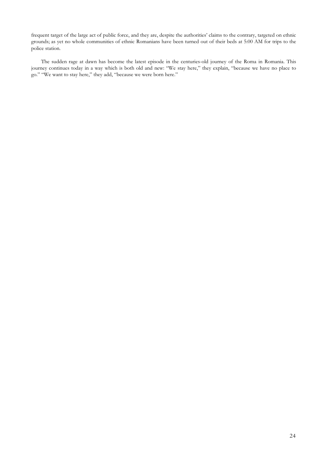frequent target of the large act of public force, and they are, despite the authorities' claims to the contrary, targeted on ethnic grounds; as yet no whole communities of ethnic Romanians have been turned out of their beds at 5:00 AM for trips to the police station.

The sudden rage at dawn has become the latest episode in the centuries-old journey of the Roma in Romania. This journey continues today in a way which is both old and new: "We stay here," they explain, "because we have no place to go." "We want to stay here," they add, "because we were born here."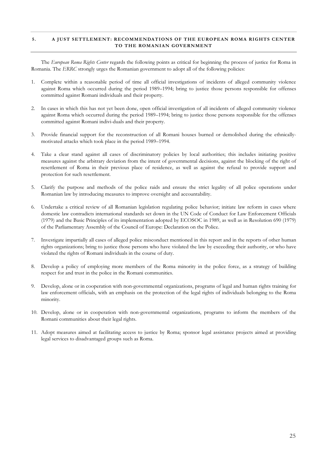#### $5.$ A JUST SETTLEMENT: RECOMMENDATIONS OF THE EUROPEAN ROMA RIGHTS CENTER TO THE ROMANIAN GOVERNMENT

The European Roma Rights Center regards the following points as critical for beginning the process of justice for Roma in Romania. The ERRC strongly urges the Romanian government to adopt all of the following policies:

- 1. Complete within a reasonable period of time all official investigations of incidents of alleged community violence against Roma which occurred during the period 1989-1994; bring to justice those persons responsible for offenses committed against Romani individuals and their property.
- 2. In cases in which this has not yet been done, open official investigation of all incidents of alleged community violence against Roma which occurred during the period 1989-1994; bring to justice those persons responsible for the offenses committed against Romani indivi-duals and their property.
- Provide financial support for the reconstruction of all Romani houses burned or demolished during the ethnically- $3.$ motivated attacks which took place in the period 1989-1994.
- 4. Take a clear stand against all cases of discriminatory policies by local authorities; this includes initiating positive measures against the arbitrary deviation from the intent of governmental decisions, against the blocking of the right of resettlement of Roma in their previous place of residence, as well as against the refusal to provide support and protection for such resettlement.
- 5. Clarify the purpose and methods of the police raids and ensure the strict legality of all police operations under Romanian law by introducing measures to improve oversight and accountability.
- 6. Undertake a critical review of all Romanian legislation regulating police behavior; initiate law reform in cases where domestic law contradicts international standards set down in the UN Code of Conduct for Law Enforcement Officials (1979) and the Basic Principles of its implementation adopted by ECOSOC in 1989, as well as in Resolution 690 (1979) of the Parliamentary Assembly of the Council of Europe: Declaration on the Police.
- 7. Investigate impartially all cases of alleged police misconduct mentioned in this report and in the reports of other human rights organizations; bring to justice those persons who have violated the law by exceeding their authority, or who have violated the rights of Romani individuals in the course of duty.
- 8. Develop a policy of employing more members of the Roma minority in the police force, as a strategy of building respect for and trust in the police in the Romani communities.
- 9. Develop, alone or in cooperation with non-governmental organizations, programs of legal and human rights training for law enforcement officials, with an emphasis on the protection of the legal rights of individuals belonging to the Roma minority.
- 10. Develop, alone or in cooperation with non-governmental organizations, programs to inform the members of the Romani communities about their legal rights.
- 11. Adopt measures aimed at facilitating access to justice by Roma; sponsor legal assistance projects aimed at providing legal services to disadvantaged groups such as Roma.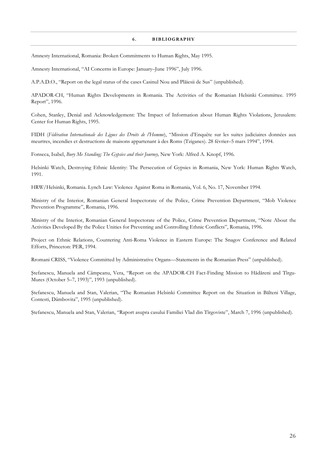#### 6. **BIBLIOGRAPHY**

Amnesty International, Romania: Broken Commitments to Human Rights, May 1995.

Amnesty International, "AI Concerns in Europe: January-June 1996", July 1996.

A.P.A.D.O., "Report on the legal status of the cases Casinul Nou and Plăiesii de Sus" (unpublished).

APADOR-CH, "Human Rights Developments in Romania. The Activities of the Romanian Helsinki Committee. 1995 Report", 1996.

Cohen, Stanley, Denial and Acknowledgement: The Impact of Information about Human Rights Violations, Jerusalem: Center for Human Rights, 1995.

FIDH (Fédération Internationale des Ligues des Droits de l'Homme), "Mission d'Enquête sur les suites judiciaires données aux meurtres, incendies et destructions de maisons appartenant à des Roms (Tziganes). 28 février-5 mars 1994", 1994.

Fonseca, Isabel, Bury Me Standing; The Gypsies and their Journey, New York: Alfred A. Knopf, 1996.

Helsinki Watch, Destroying Ethnic Identity: The Persecution of Gypsies in Romania, New York: Human Rights Watch, 1991.

HRW/Helsinki, Romania. Lynch Law: Violence Against Roma in Romania, Vol. 6, No. 17, November 1994.

Ministry of the Interior, Romanian General Inspectorate of the Police, Crime Prevention Department, "Mob Violence Prevention Programme", Romania, 1996.

Ministry of the Interior, Romanian General Inspectorate of the Police, Crime Prevention Department, "Note About the Activities Developed By the Police Unities for Preventing and Controlling Ethnic Conflicts", Romania, 1996.

Project on Ethnic Relations, Countering Anti-Roma Violence in Eastern Europe: The Snagov Conference and Related Efforts, Princeton: PER, 1994.

Rromani CRISS, "Violence Committed by Administrative Organs—Statements in the Romanian Press" (unpublished).

Ștefanescu, Manuela and Câmpeanu, Vera, "Report on the APADOR-CH Fact-Finding Mission to Hădăreni and Tîrgu-Mures (October 5-7, 1993)", 1993 (unpublished).

Stefanescu, Manuela and Stan, Valerian, "The Romanian Helsinki Committee Report on the Situation in Bălteni Village, Contesti, Dâmbovita", 1995 (unpublished).

Ștefanescu, Manuela and Stan, Valerian, "Raport asupra casului Familiei Vlad din Tîrgoviste", March 7, 1996 (unpublished).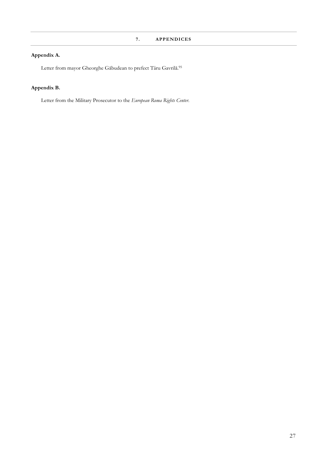## Appendix A.

Letter from mayor Gheorghe Găbudean to prefect Târu Gavrilă.<br/>  $\!95}$ 

## Appendix B.

Letter from the Military Prosecutor to the European Roma Rights Center.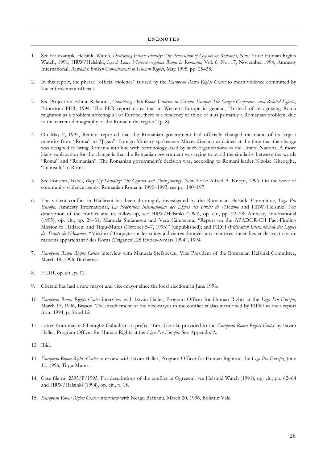#### **ENDNOTES**

- See for example Helsinki Watch, Destroying Ethnic Identity: The Persecution of Gypsies in Romania, New York: Human Rights  $1<sup>1</sup>$ Watch, 1991; HRW/Helsinki, Lynch Law: Violence Against Roma in Romania, Vol. 6, No. 17, November 1994; Amnesty International, Romania: Broken Commitments to Human Rights, May 1995, pp. 25-38.
- 2. In this report, the phrase "official violence" is used by the *European Roma Rights Center* to mean violence committed by law enforcement officials.
- 3. See Project on Ethnic Relations, Countering Anti-Roma Violence in Eastern Europe: The Snagov Conferences and Related Efforts, Princeton: PER, 1994. The PER report notes that in Western Europe in general, "Instead of recognizing Roma migration as a problem affecting all of Europe, there is a tendency to think of it as primarily a Romanian problem, due to the current demography of the Roma in the region" (p. 8).
- 4. On May 2, 1995, Reuters reported that the Romanian government had officially changed the name of its largest minority from "Roma" to "Tigan". Foreign Ministry spokesman Mircea Geoana explained at the time that the change was designed to bring Romania into line with terminology used by such organizations as the United Nations. A more likely explanation for the change is that the Romanian government was trying to avoid the similarity between the words "Roma" and "Romanian". The Romanian government's decision was, according to Romani leader Nicolae Gheorghe, "an insult" to Roma.
- 5. See Fonseca, Isabel, Bury My Standing: The Gypsies and Their Journey, New York: Alfred A. Knopf, 1996. On the wave of community violence against Romanian Roma in 1990–1993, see pp. 140–197.
- 6. The violent conflict in Hădăreni has been thoroughly investigated by the Romanian Helsinki Committee, Liga Pro Europa, Amnesty International, La Fédération Internationale des Ligues des Droits de l'Homme and HRW/Helsinki. For description of the conflict and its follow-up, see HRW/Helsinki (1994), op. cit., pp. 22-28; Amnesty International (1995), op. cit., pp. 28-31; Manuela Ștefanescu and Vera Câmpeanu, "Report on the APADOR-CH Fact-Finding Mission to Hădăreni and Tîrgu-Mures (October 5-7, 1993)" (unpublished); and FIDH (Fédération Internationale des Ligues des Droits de l'Homme), "Mission d'Enquete sur les suites judiciaires données aux meurtres, incendies et destructions de maisons appartenant ŕ des Roms (Tziganes), 28 février-5 mars 1994", 1994.
- 7. European Roma Rights Center interview with Manuela Ștefanescu, Vice President of the Romanian Helsinki Committee, March 19, 1996, Bucharest.
- 8. FIDH, op. cit., p. 12.
- 9. Chetani has had a new mayor and vice-mayor since the local elections in June 1996.
- 10. European Roma Rights Center interview with István Haller, Program Officer for Human Rights at the Liga Pro Europa, March 15, 1996, Brasov. The involvement of the vice-mayor in the conflict is also mentioned by FIDH in their report from 1994, p. 8 and 12.
- 11. Letter from mayor Gheorghe Găbudean to prefect Târu Gavrilă, provided to the European Roma Rights Center by István Haller, Program Officer for Human Rights at the Liga Pro Europa. See Appendix A.
- 12. Ibid.
- 13. European Roma Rights Center interview with István Haller, Program Officer for Human Rights at the Liga Pro Europa, June 11, 1996, Tîrgu-Mures.
- 14. Case file nr. 2395/P/1993. For descriptions of the conflict in Ogrezeni, see Helsinki Watch (1991), op. cit., pp. 62–64 and HRW/Helsinki (1994), op. cit., p. 15.
- 15. European Roma Rights Center interview with Neagu Brătianu, March 20, 1996, Bolintin Vale.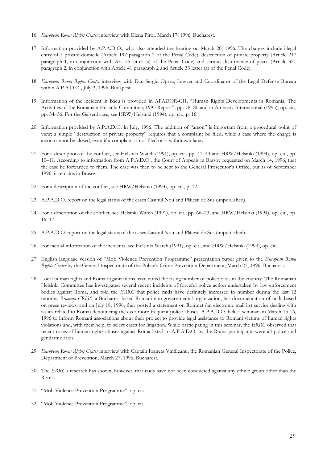- 16. European Roma Rights Center interview with Elena Pîroi, March 17, 1996, Bucharest.
- 17. Information provided by A.P.A.D.O., who also attended the hearing on March 20, 1996. The charges include illegal entry of a private domicile (Article 192 paragraph 2 of the Penal Code), destruction of private property (Article 217 paragraph 1, in conjunction with Art. 75 letter (a) of the Penal Code) and serious disturbance of peace (Article 321 paragraph 2, in conjunction with Article 41 paragraph 2 and Article 33 letter (a) of the Penal Code).
- 18. European Roma Rights Center interview with Dan-Sergiu Oprea, Lawyer and Coordinator of the Legal Defense Bureau within A.P.A.D.O., July 3, 1996, Budapest.
- 19. Information of the incident in Bâcu is provided in APADOR-CH, "Human Rights Developments in Romania; The Activities of the Romanian Helsinki Committee; 1995 Report", pp. 78-80 and in Amnesty International (1995), op. cit., pp. 34-36. For the Găiseni case, see HRW/Helsinki (1994), op. cit., p. 16.
- 20. Information provided by A.P.A.D.O. in July, 1996. The addition of "arson" is important from a procedural point of view; a simple "destruction of private property" requires that a complaint be filed, while a case where the charge is arson cannot be closed, even if a complaint is not filed or is withdrawn later.
- 21. For a description of the conflict, see Helsinki Watch (1991), op. cit., pp. 41–44 and HRW/Helsinki (1994), op. cit., pp. 10-11. According to information from A.P.A.D.O., the Court of Appeals in Brasov requested on March 14, 1996, that the case be forwarded to them. The case was then to be sent to the General Prosecutor's Office, but as of September 1996, it remains in Brasov.
- 22. For a description of the conflict, see HRW/Helsinki (1994), op. cit., p. 12.
- 23. A.P.A.D.O. report on the legal status of the cases Casinul Nou and Plăiesii de Sus (unpublished).
- 24. For a description of the conflict, see Helsinki Watch (1991), op. cit., pp. 66–73, and HRW/Helsinki (1994), op. cit., pp.  $16 - 17$ .
- 25. A.P.A.D.O. report on the legal status of the cases Casinul Nou and Plăiesii de Sus (unpublished).
- 26. For factual information of the incidents, see Helsinki Watch (1991), op. cit., and HRW/Helsinki (1994), op. cit.
- 27. English language version of "Mob Violence Prevention Programme" presentation paper given to the European Roma Rights Center by the General Inspectorate of the Police's Crime Prevention Department, March 27, 1996, Bucharest.
- 28. Local human rights and Roma organizations have noted the rising number of police raids in the country. The Romanian Helsinki Committee has investigated several recent incidents of forceful police action undertaken by law enforcement bodies against Roma, and told the ERRC that police raids have definitely increased in number during the last 12 months. Rromani CRISS, a Bucharest-based Romani non-governmental organization, has documentation of raids based on press reviews, and on July 18, 1996, they posted a statement on Romnet (an electronic mail list service dealing with issues related to Roma) denouncing the ever more frequent police abuses. A.P.A.D.O. held a seminar on March 15-16, 1996 to inform Romani associations about their project to provide legal assistance to Romani victims of human rights violations and, with their help, to select cases for litigation. While participating in this seminar, the ERRC observed that recent cases of human rights abuses against Roma listed to A.P.A.D.O. by the Roma participants were all police and gendarme raids.
- 29. European Roma Rights Center interview with Captain Ioaneta Vintileanu, the Romanian General Inspectorate of the Police, Department of Prevention, March 27, 1996, Bucharest.
- 30. The ERRCs research has shown, however, that raids have not been conducted against any ethnic group other than the Roma.
- 31. "Mob Violence Prevention Programme", op. cit.
- 32. "Mob Violence Prevention Programme", op. cit.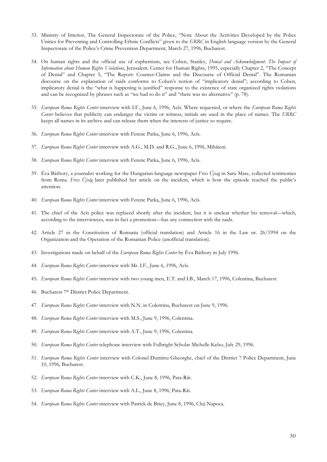- 33. Ministry of Interior, The General Inspectorate of the Police, "Note About the Activities Developed by the Police Unities for Preventing and Controlling Ethnic Conflicts" given to the ERRC in English language version by the General Inspectorate of the Police's Crime Prevention Department, March 27, 1996, Bucharest.
- 34. On human rights and the official use of euphemism, see Cohen, Stanley, Denial and Acknowledgment: The Impact of Information about Human Rights Violations, Jerusalem: Center for Human Rights, 1995, especially Chapter 2, "The Concept of Denial" and Chapter 5, "The Report: Counter-Claims and the Discourse of Official Denial". The Romanian discourse on the explanation of raids conforms to Cohen's notion of "implicatory denial"; according to Cohen, implicatory denial is the "what is happening is justified" response to the existence of state organized rights violations and can be recognized by phrases such as "we had to do it" and "there was no alternative" (p. 78).
- 35. European Roma Rights Center interview with I.F., June 6, 1996, Acîs. Where requested, or where the European Roma Rights Center believes that publicity can endanger the victim or witness, initials are used in the place of names. The ERRC keeps all names in its archive and can release them when the interests of justice so require.
- 36. European Roma Rights Center interview with Ferenc Patka, June 6, 1996, Acîs.
- 37. European Roma Rights Center interview with A.G., M.D. and R.G., June 6, 1996, Mihăieni.
- 38. European Roma Rights Center interview with Ferenc Patka, June 6, 1996, Acîs.
- 39. Eva Báthory, a journalist working for the Hungarian-language newspaper Friss Ujság in Satu Mare, collected testimonies from Roma. Friss Ujság later published her article on the incident, which is how the episode reached the public's attention.
- 40. European Roma Rights Center interview with Ferenc Patka, June 6, 1996, Acîs.
- 41. The chief of the Acîs police was replaced shortly after the incident, but it is unclear whether his removal—which, according to the interviewees, was in fact a promotion—has any connection with the raids.
- 42. Article 27 in the Constitution of Romania (official translation) and Article 16 in the Law nr. 26/1994 on the Organization and the Operation of the Romanian Police (unofficial translation).
- 43. Investigations made on behalf of the European Roma Rights Center by Éva Báthory in July 1996.
- 44. European Roma Rights Center interview with Mr. I.F., June 6, 1996, Acîs.
- 45. European Roma Rights Center interview with two young men, E.T. and I.B., March 17, 1996, Colentina, Bucharest.
- 46. Bucharest 7th District Police Department.
- 47. European Roma Rights Center interview with N.N. in Colentina, Bucharest on June 9, 1996.
- 48. European Roma Rights Center interview with M.S., June 9, 1996, Colentina.
- 49. European Roma Rights Center interview with A.T., June 9, 1996, Colentina.
- 50. European Roma Rights Center telephone interview with Fulbright Scholar Michelle Kelso, July 29, 1996.
- 51. European Roma Rights Center interview with Colonel Dumitru Gheorghe, chief of the District 7 Police Department, June 10, 1996, Bucharest.
- 52. European Roma Rights Center interview with C.K., June 8, 1996, Pata-Rât.
- 53. European Roma Rights Center interview with A.L., June 8, 1996, Pata-Rât.
- 54. European Roma Rights Center interview with Patrick de Briey, June 8, 1996, Cluj-Napoca.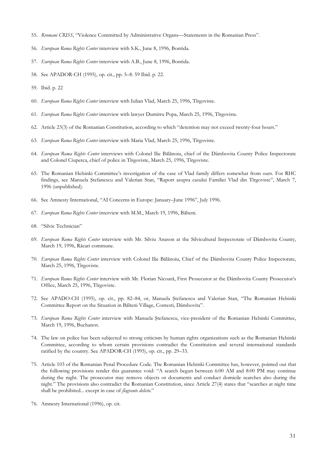- 55. Rromani CRISS, "Violence Committed by Administrative Organs—Statements in the Romanian Press".
- 56. European Roma Rights Center interview with S.K., June 8, 1996, Bontida.
- 57. European Roma Rights Center interview with A.B., June 8, 1996, Bontida.
- 58. See APADOR-CH (1995), op. cit., pp. 5-8. 59 Ibid. p. 22.
- 59. Ibid. p. 22
- 60. European Roma Rights Center interview with Iulian Vlad, March 25, 1996, Tirgoviste.
- 61. European Roma Rights Center interview with lawyer Dumitru Popa, March 25, 1996, Tîrgoviste.
- 62. Article 23(3) of the Romanian Constitution, according to which "detention may not exceed twenty-four hours."
- 63. European Roma Rights Center interview with Maria Vlad, March 25, 1996, Tîrgoviste.
- 64. European Roma Rights Center interviews with Colonel Ilie Bălănoiu, chief of the Dâmbovita County Police Inspectorate and Colonel Ciuperca, chief of police in Tîrgoviste, March 25, 1996, Tîrgoviste.
- 65. The Romanian Helsinki Committee's investigation of the case of Vlad family differs somewhat from ours. For RHC findings, see Manuela Ștefanescu and Valerian Stan, "Raport asupra casului Familiei Vlad din Tirgoviste", March 7, 1996 (unpublished).
- 66. See Amnesty International, "AI Concerns in Europe: January-June 1996", July 1996.
- 67. European Roma Rights Center interview with M.M., March 19, 1996, Bălteni.
- 68. "Silvic Technician"
- 69. European Roma Rights Center interview with Mr. Silviu Anason at the Silvicultural Inspectorate of Dâmbovita County, March 19, 1996, Răcari commune.
- 70. European Roma Rights Center interview with Colonel Ilie Bălănoiu, Chief of the Dâmbovita County Police Inspectorate, March 25, 1996, Tîrgoviste.
- 71. European Roma Rights Center interview with Mr. Florian Nicoară, First Prosecutor at the Dâmbovita County Prosecutor's Office, March 25, 1996, Tîrgoviste.
- 72. See APADO-CH (1995), op. cit., pp. 82–84, or, Manuela Ștefanescu and Valerian Stan, "The Romanian Helsinki Committee Report on the Situation in Bălteni Village, Contesti, Dâmbovita".
- 73. European Roma Rights Center interview with Manuela Ștefanescu, vice-president of the Romanian Helsinki Committee, March 19, 1996, Bucharest.
- 74. The law on police has been subjected to strong criticism by human rights organizations such as the Romanian Helsinki Committee, according to whom certain provisions contradict the Constitution and several international standards ratified by the country. See APADOR-CH (1995), op. cit., pp. 29–33.
- 75. Article 103 of the Romanian Penal Procedure Code. The Romanian Helsinki Committee has, however, pointed out that the following provisions render this guarantee void: "A search begun between 6:00 AM and 8:00 PM may continue during the night. The prosecutor may remove objects or documents and conduct domicile searches also during the night." The provisions also contradict the Romanian Constitution, since Article 27(4) states that "searches at night time shall be prohibited... except in case of *flagrante delicto.*"
- 76. Amnesty International (1996), op. cit.